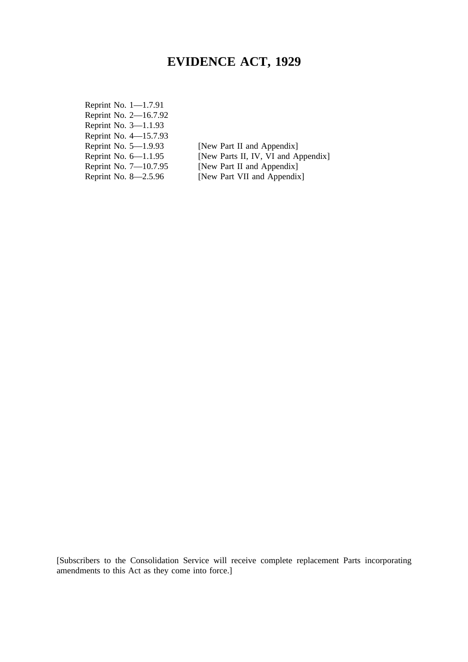# **EVIDENCE ACT, 1929**

Reprint No. 1—1.7.91 Reprint No. 2—16.7.92 Reprint No. 3—1.1.93 Reprint No. 4—15.7.93 Reprint No. 5—1.9.93 [New Part II and Appendix]<br>Reprint No. 6—1.1.95 [New Parts II, IV, VI and A Reprint No. 7—10.7.95 [New Part II and Appendix]<br>Reprint No. 8—2.5.96 [New Part VII and Appendix

[New Parts II, IV, VI and Appendix] [New Part VII and Appendix]

[Subscribers to the Consolidation Service will receive complete replacement Parts incorporating amendments to this Act as they come into force.]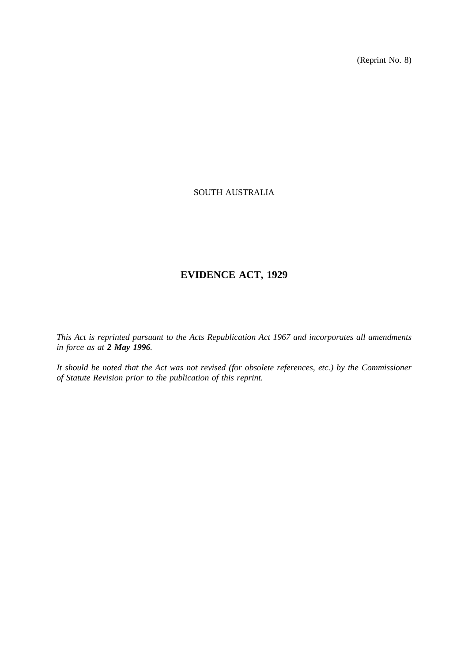(Reprint No. 8)

## SOUTH AUSTRALIA

# **EVIDENCE ACT, 1929**

*This Act is reprinted pursuant to the Acts Republication Act 1967 and incorporates all amendments in force as at 2 May 1996.*

*It should be noted that the Act was not revised (for obsolete references, etc.) by the Commissioner of Statute Revision prior to the publication of this reprint.*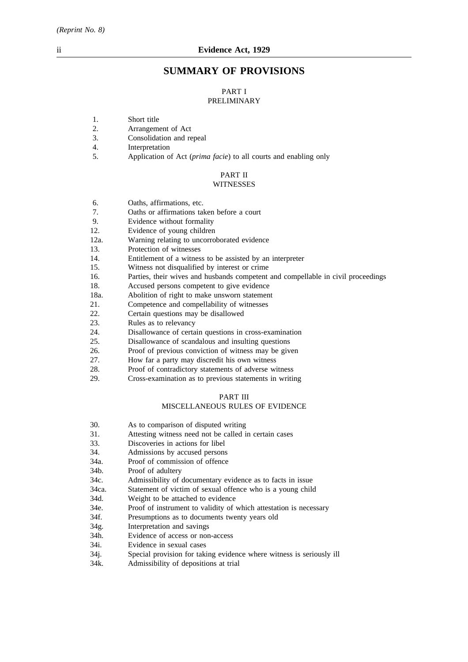## **SUMMARY OF PROVISIONS**

#### PART I PRELIMINARY

- 1. Short title
- 2. Arrangement of Act
- 3. Consolidation and repeal
- 4. Interpretation
- 5. Application of Act (*prima facie*) to all courts and enabling only

#### PART II **WITNESSES**

- 6. Oaths, affirmations, etc.
- 7. Oaths or affirmations taken before a court
- 9. Evidence without formality
- 12. Evidence of young children
- 12a. Warning relating to uncorroborated evidence
- 13. Protection of witnesses
- 14. Entitlement of a witness to be assisted by an interpreter
- 15. Witness not disqualified by interest or crime
- 16. Parties, their wives and husbands competent and compellable in civil proceedings
- 18. Accused persons competent to give evidence
- 18a. Abolition of right to make unsworn statement
- 21. Competence and compellability of witnesses
- 22. Certain questions may be disallowed
- 23. Rules as to relevancy
- 24. Disallowance of certain questions in cross-examination
- 25. Disallowance of scandalous and insulting questions
- 26. Proof of previous conviction of witness may be given
- 27. How far a party may discredit his own witness
- 28. Proof of contradictory statements of adverse witness
- 29. Cross-examination as to previous statements in writing

### PART III

### MISCELLANEOUS RULES OF EVIDENCE

- 30. As to comparison of disputed writing
- 31. Attesting witness need not be called in certain cases
- 33. Discoveries in actions for libel
- 34. Admissions by accused persons
- 34a. Proof of commission of offence
- 34b. Proof of adultery
- 34c. Admissibility of documentary evidence as to facts in issue
- 34ca. Statement of victim of sexual offence who is a young child
- 34d. Weight to be attached to evidence
- 34e. Proof of instrument to validity of which attestation is necessary
- 34f. Presumptions as to documents twenty years old
- 34g. Interpretation and savings
- 34h. Evidence of access or non-access
- 34i. Evidence in sexual cases
- 34j. Special provision for taking evidence where witness is seriously ill
- 34k. Admissibility of depositions at trial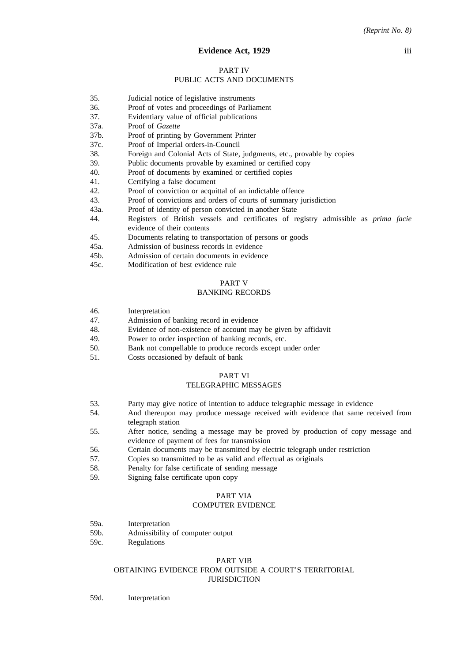#### **Evidence Act, 1929** iii

### PART IV

### PUBLIC ACTS AND DOCUMENTS

- 35. Judicial notice of legislative instruments
- 36. Proof of votes and proceedings of Parliament
- 37. Evidentiary value of official publications
- 37a. Proof of *Gazette*
- 37b. Proof of printing by Government Printer
- 37c. Proof of Imperial orders-in-Council
- 38. Foreign and Colonial Acts of State, judgments, etc., provable by copies
- 39. Public documents provable by examined or certified copy
- 40. Proof of documents by examined or certified copies
- 41. Certifying a false document
- 42. Proof of conviction or acquittal of an indictable offence
- 43. Proof of convictions and orders of courts of summary jurisdiction
- 43a. Proof of identity of person convicted in another State
- 44. Registers of British vessels and certificates of registry admissible as *prima facie* evidence of their contents
- 45. Documents relating to transportation of persons or goods
- 45a. Admission of business records in evidence
- 45b. Admission of certain documents in evidence
- 45c. Modification of best evidence rule

### PART V

#### BANKING RECORDS

- 46. Interpretation
- 47. Admission of banking record in evidence
- 48. Evidence of non-existence of account may be given by affidavit
- 49. Power to order inspection of banking records, etc.
- 50. Bank not compellable to produce records except under order
- 51. Costs occasioned by default of bank

## PART VI

### TELEGRAPHIC MESSAGES

- 53. Party may give notice of intention to adduce telegraphic message in evidence
- 54. And thereupon may produce message received with evidence that same received from telegraph station
- 55. After notice, sending a message may be proved by production of copy message and evidence of payment of fees for transmission
- 56. Certain documents may be transmitted by electric telegraph under restriction
- 57. Copies so transmitted to be as valid and effectual as originals
- 58. Penalty for false certificate of sending message
- 59. Signing false certificate upon copy

### PART VIA COMPUTER EVIDENCE

- 59a. Interpretation
- 59b. Admissibility of computer output
- 59c. Regulations

#### PART VIB OBTAINING EVIDENCE FROM OUTSIDE A COURT'S TERRITORIAL JURISDICTION

59d. Interpretation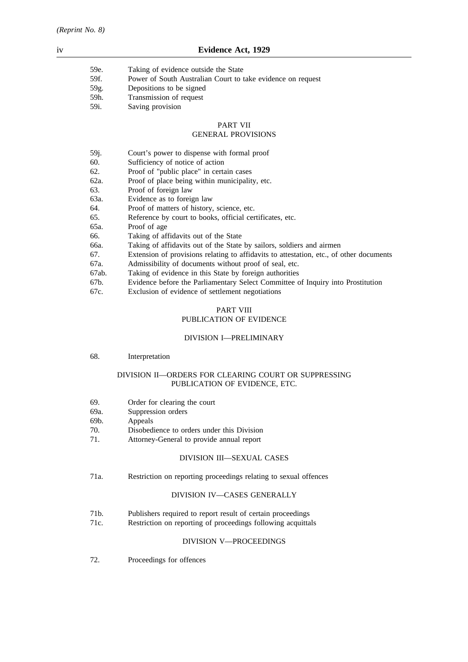| 59e. | Taking of evidence outside the State                        |
|------|-------------------------------------------------------------|
| 59f. | Power of South Australian Court to take evidence on request |
| 59g. | Depositions to be signed                                    |
| 59h. | Transmission of request                                     |
| 59i. | Saving provision                                            |

## PART VII

## GENERAL PROVISIONS

| 59j.  | Court's power to dispense with formal proof                                             |
|-------|-----------------------------------------------------------------------------------------|
| 60.   | Sufficiency of notice of action                                                         |
| 62.   | Proof of "public place" in certain cases                                                |
| 62a.  | Proof of place being within municipality, etc.                                          |
| 63.   | Proof of foreign law                                                                    |
| 63a.  | Evidence as to foreign law                                                              |
| 64.   | Proof of matters of history, science, etc.                                              |
| 65.   | Reference by court to books, official certificates, etc.                                |
| 65a.  | Proof of age                                                                            |
| 66.   | Taking of affidavits out of the State                                                   |
| 66a.  | Taking of affidavits out of the State by sailors, soldiers and airmen                   |
| 67.   | Extension of provisions relating to affidavits to attestation, etc., of other documents |
| 67a.  | Admissibility of documents without proof of seal, etc.                                  |
| 67ab. | Taking of evidence in this State by foreign authorities                                 |
| 67b.  | Evidence before the Parliamentary Select Committee of Inquiry into Prostitution         |
| 67c.  | Exclusion of evidence of settlement negotiations                                        |

## PART VIII

### PUBLICATION OF EVIDENCE

### DIVISION I—PRELIMINARY

68. Interpretation

### DIVISION II—ORDERS FOR CLEARING COURT OR SUPPRESSING PUBLICATION OF EVIDENCE, ETC.

- 69. Order for clearing the court
- 69a. Suppression orders
- 69b. Appeals
- 70. Disobedience to orders under this Division
- 71. Attorney-General to provide annual report

## DIVISION III—SEXUAL CASES

71a. Restriction on reporting proceedings relating to sexual offences

## DIVISION IV—CASES GENERALLY

- 71b. Publishers required to report result of certain proceedings
- 71c. Restriction on reporting of proceedings following acquittals

## DIVISION V—PROCEEDINGS

72. Proceedings for offences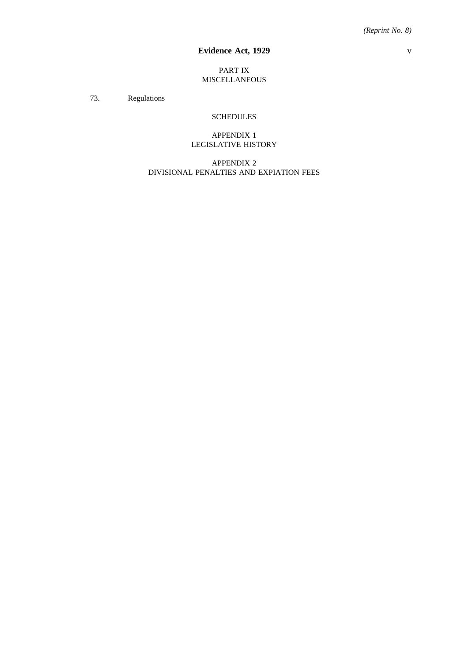### PART IX MISCELLANEOUS

73. Regulations

## SCHEDULES

## APPENDIX 1 LEGISLATIVE HISTORY

APPENDIX 2 DIVISIONAL PENALTIES AND EXPIATION FEES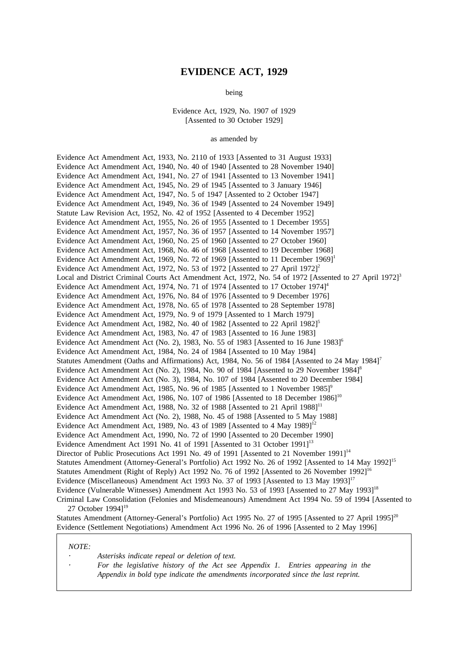### **EVIDENCE ACT, 1929**

being

Evidence Act, 1929, No. 1907 of 1929 [Assented to 30 October 1929]

as amended by

Evidence Act Amendment Act, 1933, No. 2110 of 1933 [Assented to 31 August 1933] Evidence Act Amendment Act, 1940, No. 40 of 1940 [Assented to 28 November 1940] Evidence Act Amendment Act, 1941, No. 27 of 1941 [Assented to 13 November 1941] Evidence Act Amendment Act, 1945, No. 29 of 1945 [Assented to 3 January 1946] Evidence Act Amendment Act, 1947, No. 5 of 1947 [Assented to 2 October 1947] Evidence Act Amendment Act, 1949, No. 36 of 1949 [Assented to 24 November 1949] Statute Law Revision Act, 1952, No. 42 of 1952 [Assented to 4 December 1952] Evidence Act Amendment Act, 1955, No. 26 of 1955 [Assented to 1 December 1955] Evidence Act Amendment Act, 1957, No. 36 of 1957 [Assented to 14 November 1957] Evidence Act Amendment Act, 1960, No. 25 of 1960 [Assented to 27 October 1960] Evidence Act Amendment Act, 1968, No. 46 of 1968 [Assented to 19 December 1968] Evidence Act Amendment Act, 1969, No. 72 of 1969 [Assented to 11 December 1969]<sup>1</sup> Evidence Act Amendment Act, 1972, No. 53 of 1972 [Assented to 27 April 1972]<sup>2</sup> Local and District Criminal Courts Act Amendment Act, 1972, No. 54 of 1972 [Assented to 27 April 1972]<sup>3</sup> Evidence Act Amendment Act, 1974, No. 71 of 1974 [Assented to 17 October 1974]<sup>4</sup> Evidence Act Amendment Act, 1976, No. 84 of 1976 [Assented to 9 December 1976] Evidence Act Amendment Act, 1978, No. 65 of 1978 [Assented to 28 September 1978] Evidence Act Amendment Act, 1979, No. 9 of 1979 [Assented to 1 March 1979] Evidence Act Amendment Act, 1982, No. 40 of 1982 [Assented to 22 April 1982]<sup>5</sup> Evidence Act Amendment Act, 1983, No. 47 of 1983 [Assented to 16 June 1983] Evidence Act Amendment Act (No. 2), 1983, No. 55 of 1983 [Assented to 16 June 1983]<sup>6</sup> Evidence Act Amendment Act, 1984, No. 24 of 1984 [Assented to 10 May 1984] Statutes Amendment (Oaths and Affirmations) Act, 1984, No. 56 of 1984 [Assented to 24 May 1984]<sup>7</sup> Evidence Act Amendment Act (No. 2), 1984, No. 90 of 1984 [Assented to 29 November 1984]<sup>8</sup> Evidence Act Amendment Act (No. 3), 1984, No. 107 of 1984 [Assented to 20 December 1984] Evidence Act Amendment Act, 1985, No. 96 of 1985 [Assented to 1 November 1985]<sup>9</sup> Evidence Act Amendment Act, 1986, No. 107 of 1986 [Assented to 18 December 1986]<sup>10</sup> Evidence Act Amendment Act, 1988, No. 32 of 1988 [Assented to 21 April  $1988$ ]<sup>11</sup> Evidence Act Amendment Act (No. 2), 1988, No. 45 of 1988 [Assented to 5 May 1988] Evidence Act Amendment Act, 1989, No. 43 of 1989 [Assented to 4 May  $1989$ ]<sup>12</sup> Evidence Act Amendment Act, 1990, No. 72 of 1990 [Assented to 20 December 1990] Evidence Amendment Act 1991 No. 41 of 1991 [Assented to 31 October 1991]<sup>13</sup> Director of Public Prosecutions Act 1991 No. 49 of 1991 [Assented to 21 November 1991]<sup>14</sup> Statutes Amendment (Attorney-General's Portfolio) Act 1992 No. 26 of 1992 [Assented to 14 May 1992]<sup>15</sup> Statutes Amendment (Right of Reply) Act 1992 No. 76 of 1992 [Assented to 26 November 1992]<sup>1</sup> Evidence (Miscellaneous) Amendment Act 1993 No. 37 of 1993 [Assented to 13 May 1993]<sup>17</sup> Evidence (Vulnerable Witnesses) Amendment Act 1993 No. 53 of 1993 [Assented to 27 May 1993]18 Criminal Law Consolidation (Felonies and Misdemeanours) Amendment Act 1994 No. 59 of 1994 [Assented to 27 October 19941<sup>19</sup>

Statutes Amendment (Attorney-General's Portfolio) Act 1995 No. 27 of 1995 [Assented to 27 April 1995]<sup>20</sup> Evidence (Settlement Negotiations) Amendment Act 1996 No. 26 of 1996 [Assented to 2 May 1996]

*NOTE:*

*Asterisks indicate repeal or deletion of text.*

*For the legislative history of the Act see Appendix 1. Entries appearing in the Appendix in bold type indicate the amendments incorporated since the last reprint.*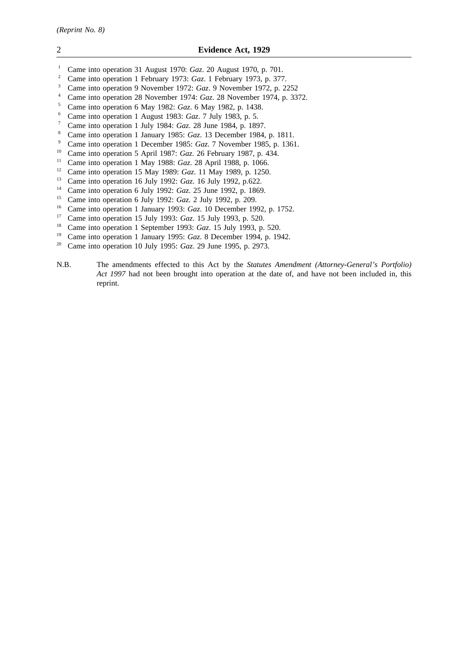- <sup>1</sup> Came into operation 31 August 1970: *Gaz*. 20 August 1970, p. 701.<br><sup>2</sup> Came into operation 1 February 1973: *Gaz*. 1 February 1973, p. 377
- <sup>2</sup> Came into operation 1 February 1973: *Gaz*. 1 February 1973, p. 377.
- <sup>3</sup> Came into operation 9 November 1972: *Gaz*. 9 November 1972, p. 2252
- <sup>4</sup> Came into operation 28 November 1974: *Gaz*. 28 November 1974, p. 3372.
- <sup>5</sup> Came into operation 6 May 1982: *Gaz*. 6 May 1982, p. 1438.
- <sup>6</sup> Came into operation 1 August 1983: *Gaz*. 7 July 1983, p. 5.
- <sup>7</sup> Came into operation 1 July 1984: *Gaz*. 28 June 1984, p. 1897.
- <sup>8</sup> Came into operation 1 January 1985: *Gaz*. 13 December 1984, p. 1811.
- <sup>9</sup> Came into operation 1 December 1985: *Gaz*. 7 November 1985, p. 1361.
- <sup>10</sup> Came into operation 5 April 1987: *Gaz*. 26 February 1987, p. 434.
- <sup>11</sup> Came into operation 1 May 1988: *Gaz*. 28 April 1988, p. 1066.
- <sup>12</sup> Came into operation 15 May 1989: *Gaz*. 11 May 1989, p. 1250.
- <sup>13</sup> Came into operation 16 July 1992: *Gaz*. 16 July 1992, p.622.
- <sup>14</sup> Came into operation 6 July 1992: *Gaz*. 25 June 1992, p. 1869.<br><sup>15</sup> Came into operation 6 July 1992: *Gaz*. 2 July 1992, p. 209
- <sup>15</sup> Came into operation 6 July 1992: *Gaz*. 2 July 1992, p. 209.<br><sup>16</sup> Came into operation 1 January 1993: *Gaz*. 10 December 199
- <sup>16</sup> Came into operation 1 January 1993: *Gaz*. 10 December 1992, p. 1752.<br><sup>17</sup> Came into operation 15 July 1993: *Gaz*. 15 July 1993, p. 520.
- <sup>17</sup> Came into operation 15 July 1993: *Gaz*. 15 July 1993, p. 520.<br><sup>18</sup> Came into operation 1 September 1993: *Gaz*. 15 July 1993, p.
- <sup>18</sup> Came into operation 1 September 1993: *Gaz*. 15 July 1993, p. 520.<br><sup>19</sup> Came into operation 1 January 1995: *Gaz*. 8 December 1994, p. 199
- <sup>19</sup> Came into operation 1 January 1995: *Gaz*. 8 December 1994, p. 1942.<br><sup>20</sup> Came into operation 10 July 1995: *Gaz*. 29 June 1995, p. 2973.
- <sup>20</sup> Came into operation 10 July 1995: *Gaz*. 29 June 1995, p. 2973.
- N.B. The amendments effected to this Act by the *Statutes Amendment (Attorney-General's Portfolio) Act 1997* had not been brought into operation at the date of, and have not been included in, this reprint.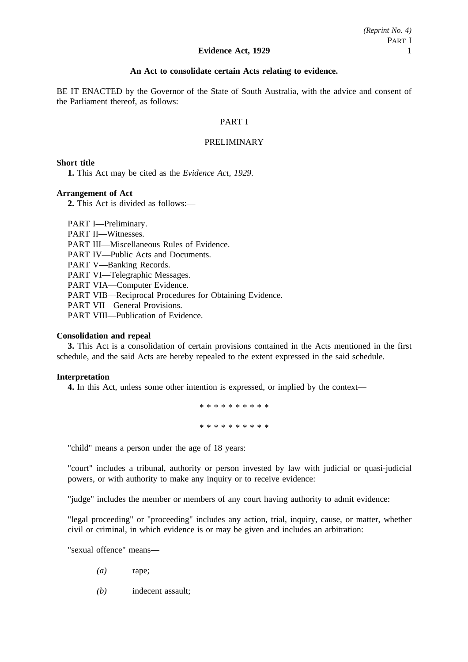### **An Act to consolidate certain Acts relating to evidence.**

BE IT ENACTED by the Governor of the State of South Australia, with the advice and consent of the Parliament thereof, as follows:

### PART I

### PRELIMINARY

### **Short title**

**1.** This Act may be cited as the *Evidence Act, 1929*.

### **Arrangement of Act**

**2.** This Act is divided as follows:—

PART I—Preliminary. PART II—Witnesses. PART III—Miscellaneous Rules of Evidence. PART IV—Public Acts and Documents. PART V—Banking Records. PART VI—Telegraphic Messages. PART VIA—Computer Evidence. PART VIB—Reciprocal Procedures for Obtaining Evidence. PART VII—General Provisions. PART VIII—Publication of Evidence.

### **Consolidation and repeal**

**3.** This Act is a consolidation of certain provisions contained in the Acts mentioned in the first schedule, and the said Acts are hereby repealed to the extent expressed in the said schedule.

### **Interpretation**

**4.** In this Act, unless some other intention is expressed, or implied by the context—

\*\*\*\*\*\*\*\*\*\* \*\*\*\*\*\*\*\*\*\*

"child" means a person under the age of 18 years:

"court" includes a tribunal, authority or person invested by law with judicial or quasi-judicial powers, or with authority to make any inquiry or to receive evidence:

"judge" includes the member or members of any court having authority to admit evidence:

"legal proceeding" or "proceeding" includes any action, trial, inquiry, cause, or matter, whether civil or criminal, in which evidence is or may be given and includes an arbitration:

"sexual offence" means—

- *(a)* rape;
- *(b)* indecent assault;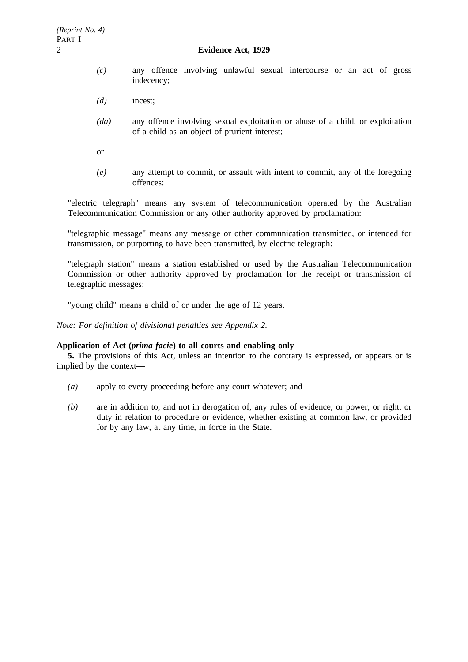- *(c)* any offence involving unlawful sexual intercourse or an act of gross indecency;
- *(d)* incest;
- *(da)* any offence involving sexual exploitation or abuse of a child, or exploitation of a child as an object of prurient interest;
- or
- *(e)* any attempt to commit, or assault with intent to commit, any of the foregoing offences:

"electric telegraph" means any system of telecommunication operated by the Australian Telecommunication Commission or any other authority approved by proclamation:

"telegraphic message" means any message or other communication transmitted, or intended for transmission, or purporting to have been transmitted, by electric telegraph:

"telegraph station" means a station established or used by the Australian Telecommunication Commission or other authority approved by proclamation for the receipt or transmission of telegraphic messages:

"young child" means a child of or under the age of 12 years.

*Note: For definition of divisional penalties see Appendix 2.*

## **Application of Act (***prima facie***) to all courts and enabling only**

**5.** The provisions of this Act, unless an intention to the contrary is expressed, or appears or is implied by the context—

- *(a)* apply to every proceeding before any court whatever; and
- *(b)* are in addition to, and not in derogation of, any rules of evidence, or power, or right, or duty in relation to procedure or evidence, whether existing at common law, or provided for by any law, at any time, in force in the State.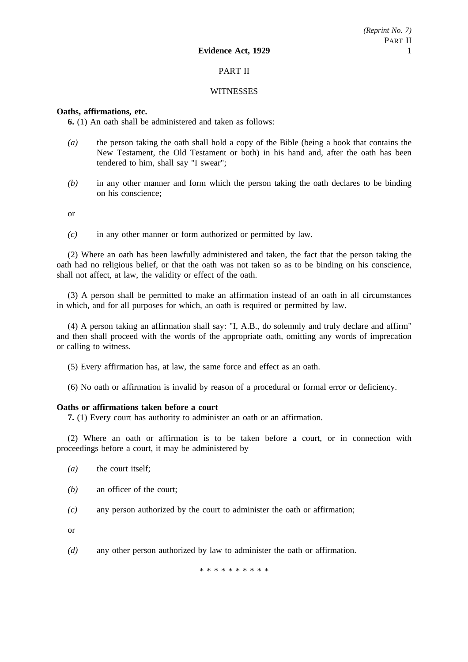## PART II

### **WITNESSES**

## **Oaths, affirmations, etc.**

**6.** (1) An oath shall be administered and taken as follows:

- *(a)* the person taking the oath shall hold a copy of the Bible (being a book that contains the New Testament, the Old Testament or both) in his hand and, after the oath has been tendered to him, shall say "I swear";
- *(b)* in any other manner and form which the person taking the oath declares to be binding on his conscience;

or

*(c)* in any other manner or form authorized or permitted by law.

(2) Where an oath has been lawfully administered and taken, the fact that the person taking the oath had no religious belief, or that the oath was not taken so as to be binding on his conscience, shall not affect, at law, the validity or effect of the oath.

(3) A person shall be permitted to make an affirmation instead of an oath in all circumstances in which, and for all purposes for which, an oath is required or permitted by law.

(4) A person taking an affirmation shall say: "I, A.B., do solemnly and truly declare and affirm" and then shall proceed with the words of the appropriate oath, omitting any words of imprecation or calling to witness.

(5) Every affirmation has, at law, the same force and effect as an oath.

(6) No oath or affirmation is invalid by reason of a procedural or formal error or deficiency.

#### **Oaths or affirmations taken before a court**

**7.** (1) Every court has authority to administer an oath or an affirmation.

(2) Where an oath or affirmation is to be taken before a court, or in connection with proceedings before a court, it may be administered by—

- *(a)* the court itself;
- *(b)* an officer of the court;
- *(c)* any person authorized by the court to administer the oath or affirmation;

or

*(d)* any other person authorized by law to administer the oath or affirmation.

\*\*\*\*\*\*\*\*\*\*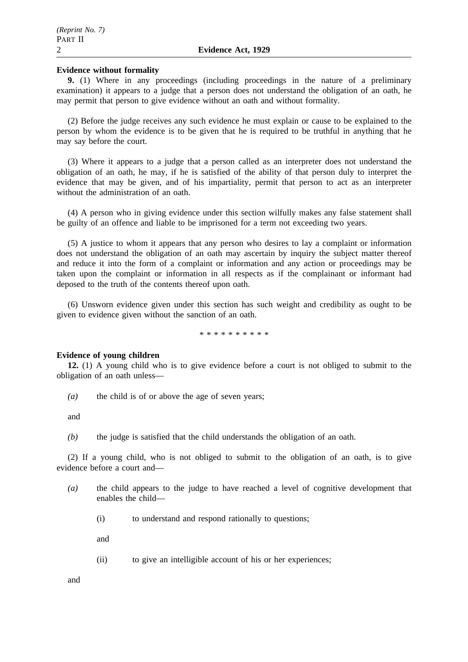### **Evidence without formality**

**9.** (1) Where in any proceedings (including proceedings in the nature of a preliminary examination) it appears to a judge that a person does not understand the obligation of an oath, he may permit that person to give evidence without an oath and without formality.

(2) Before the judge receives any such evidence he must explain or cause to be explained to the person by whom the evidence is to be given that he is required to be truthful in anything that he may say before the court.

(3) Where it appears to a judge that a person called as an interpreter does not understand the obligation of an oath, he may, if he is satisfied of the ability of that person duly to interpret the evidence that may be given, and of his impartiality, permit that person to act as an interpreter without the administration of an oath.

(4) A person who in giving evidence under this section wilfully makes any false statement shall be guilty of an offence and liable to be imprisoned for a term not exceeding two years.

(5) A justice to whom it appears that any person who desires to lay a complaint or information does not understand the obligation of an oath may ascertain by inquiry the subject matter thereof and reduce it into the form of a complaint or information and any action or proceedings may be taken upon the complaint or information in all respects as if the complainant or informant had deposed to the truth of the contents thereof upon oath.

(6) Unsworn evidence given under this section has such weight and credibility as ought to be given to evidence given without the sanction of an oath.

\*\*\*\*\*\*\*\*\*\*

#### **Evidence of young children**

**12.** (1) A young child who is to give evidence before a court is not obliged to submit to the obligation of an oath unless—

*(a)* the child is of or above the age of seven years;

and

*(b)* the judge is satisfied that the child understands the obligation of an oath.

(2) If a young child, who is not obliged to submit to the obligation of an oath, is to give evidence before a court and—

- *(a)* the child appears to the judge to have reached a level of cognitive development that enables the child—
	- (i) to understand and respond rationally to questions;

and

(ii) to give an intelligible account of his or her experiences;

and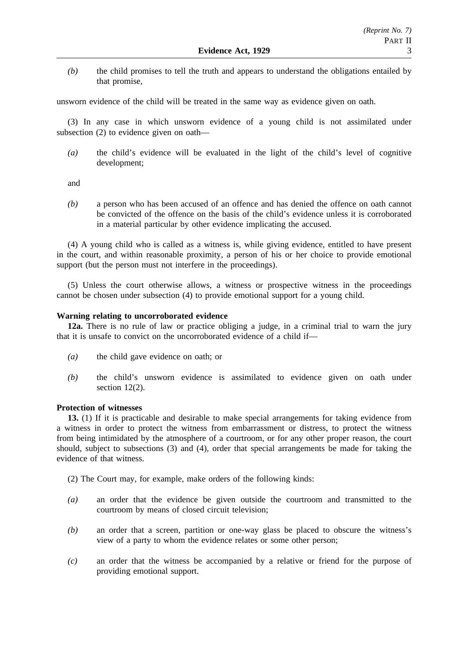*(b)* the child promises to tell the truth and appears to understand the obligations entailed by that promise,

unsworn evidence of the child will be treated in the same way as evidence given on oath.

(3) In any case in which unsworn evidence of a young child is not assimilated under subsection (2) to evidence given on oath—

*(a)* the child's evidence will be evaluated in the light of the child's level of cognitive development;

and

*(b)* a person who has been accused of an offence and has denied the offence on oath cannot be convicted of the offence on the basis of the child's evidence unless it is corroborated in a material particular by other evidence implicating the accused.

(4) A young child who is called as a witness is, while giving evidence, entitled to have present in the court, and within reasonable proximity, a person of his or her choice to provide emotional support (but the person must not interfere in the proceedings).

(5) Unless the court otherwise allows, a witness or prospective witness in the proceedings cannot be chosen under subsection (4) to provide emotional support for a young child.

## **Warning relating to uncorroborated evidence**

**12a.** There is no rule of law or practice obliging a judge, in a criminal trial to warn the jury that it is unsafe to convict on the uncorroborated evidence of a child if—

- *(a)* the child gave evidence on oath; or
- *(b)* the child's unsworn evidence is assimilated to evidence given on oath under section 12(2).

## **Protection of witnesses**

**13.** (1) If it is practicable and desirable to make special arrangements for taking evidence from a witness in order to protect the witness from embarrassment or distress, to protect the witness from being intimidated by the atmosphere of a courtroom, or for any other proper reason, the court should, subject to subsections (3) and (4), order that special arrangements be made for taking the evidence of that witness.

- (2) The Court may, for example, make orders of the following kinds:
- *(a)* an order that the evidence be given outside the courtroom and transmitted to the courtroom by means of closed circuit television;
- *(b)* an order that a screen, partition or one-way glass be placed to obscure the witness's view of a party to whom the evidence relates or some other person;
- *(c)* an order that the witness be accompanied by a relative or friend for the purpose of providing emotional support.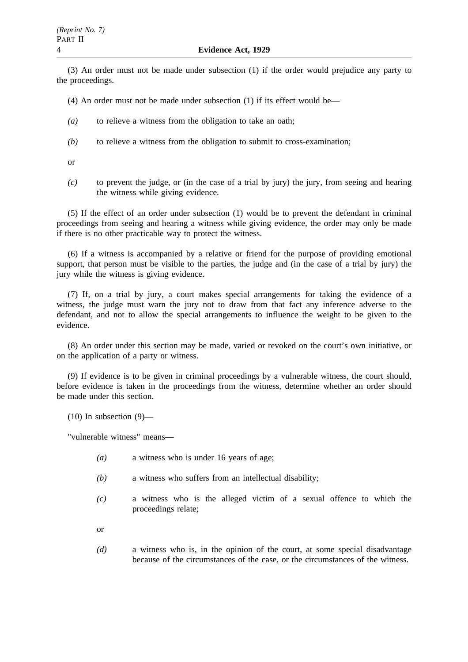(3) An order must not be made under subsection (1) if the order would prejudice any party to the proceedings.

(4) An order must not be made under subsection (1) if its effect would be—

- *(a)* to relieve a witness from the obligation to take an oath;
- *(b)* to relieve a witness from the obligation to submit to cross-examination;

or

*(c)* to prevent the judge, or (in the case of a trial by jury) the jury, from seeing and hearing the witness while giving evidence.

(5) If the effect of an order under subsection (1) would be to prevent the defendant in criminal proceedings from seeing and hearing a witness while giving evidence, the order may only be made if there is no other practicable way to protect the witness.

(6) If a witness is accompanied by a relative or friend for the purpose of providing emotional support, that person must be visible to the parties, the judge and (in the case of a trial by jury) the jury while the witness is giving evidence.

(7) If, on a trial by jury, a court makes special arrangements for taking the evidence of a witness, the judge must warn the jury not to draw from that fact any inference adverse to the defendant, and not to allow the special arrangements to influence the weight to be given to the evidence.

(8) An order under this section may be made, varied or revoked on the court's own initiative, or on the application of a party or witness.

(9) If evidence is to be given in criminal proceedings by a vulnerable witness, the court should, before evidence is taken in the proceedings from the witness, determine whether an order should be made under this section.

 $(10)$  In subsection  $(9)$ —

"vulnerable witness" means—

- *(a)* a witness who is under 16 years of age;
- *(b)* a witness who suffers from an intellectual disability;
- *(c)* a witness who is the alleged victim of a sexual offence to which the proceedings relate;
- or
- *(d)* a witness who is, in the opinion of the court, at some special disadvantage because of the circumstances of the case, or the circumstances of the witness.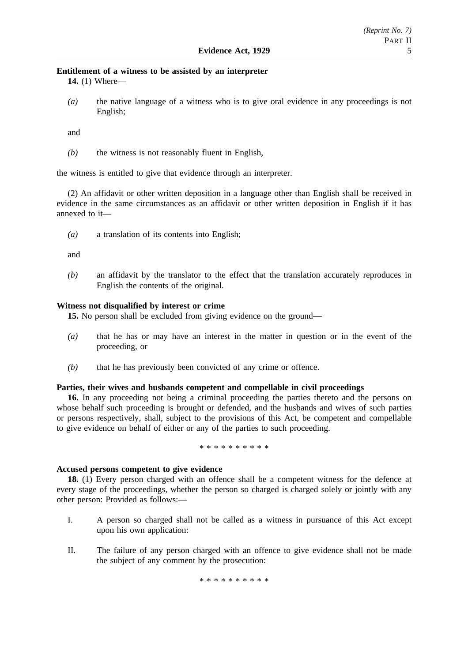# **Entitlement of a witness to be assisted by an interpreter**

**14.** (1) Where—

*(a)* the native language of a witness who is to give oral evidence in any proceedings is not English;

and

*(b)* the witness is not reasonably fluent in English,

the witness is entitled to give that evidence through an interpreter.

(2) An affidavit or other written deposition in a language other than English shall be received in evidence in the same circumstances as an affidavit or other written deposition in English if it has annexed to it—

*(a)* a translation of its contents into English;

and

*(b)* an affidavit by the translator to the effect that the translation accurately reproduces in English the contents of the original.

## **Witness not disqualified by interest or crime**

**15.** No person shall be excluded from giving evidence on the ground—

- *(a)* that he has or may have an interest in the matter in question or in the event of the proceeding, or
- *(b)* that he has previously been convicted of any crime or offence.

### **Parties, their wives and husbands competent and compellable in civil proceedings**

**16.** In any proceeding not being a criminal proceeding the parties thereto and the persons on whose behalf such proceeding is brought or defended, and the husbands and wives of such parties or persons respectively, shall, subject to the provisions of this Act, be competent and compellable to give evidence on behalf of either or any of the parties to such proceeding.

\*\*\*\*\*\*\*\*\*\*

## **Accused persons competent to give evidence**

**18.** (1) Every person charged with an offence shall be a competent witness for the defence at every stage of the proceedings, whether the person so charged is charged solely or jointly with any other person: Provided as follows:—

- I. A person so charged shall not be called as a witness in pursuance of this Act except upon his own application:
- II. The failure of any person charged with an offence to give evidence shall not be made the subject of any comment by the prosecution:

\*\*\*\*\*\*\*\*\*\*\*\*\*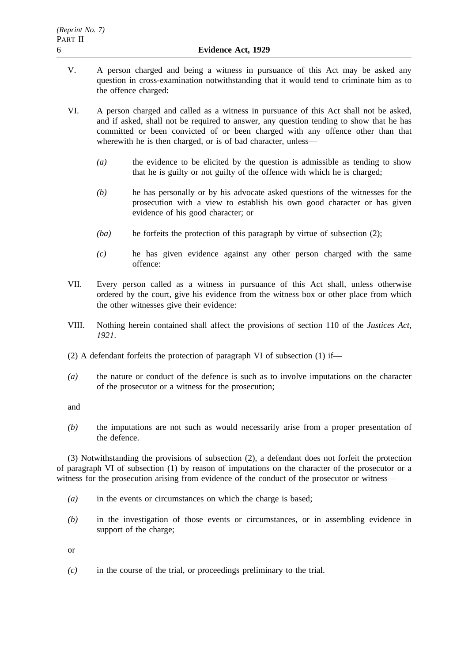- V. A person charged and being a witness in pursuance of this Act may be asked any question in cross-examination notwithstanding that it would tend to criminate him as to the offence charged:
- VI. A person charged and called as a witness in pursuance of this Act shall not be asked, and if asked, shall not be required to answer, any question tending to show that he has committed or been convicted of or been charged with any offence other than that wherewith he is then charged, or is of bad character, unless—
	- *(a)* the evidence to be elicited by the question is admissible as tending to show that he is guilty or not guilty of the offence with which he is charged;
	- *(b)* he has personally or by his advocate asked questions of the witnesses for the prosecution with a view to establish his own good character or has given evidence of his good character; or
	- *(ba)* he forfeits the protection of this paragraph by virtue of subsection (2);
	- *(c)* he has given evidence against any other person charged with the same offence:
- VII. Every person called as a witness in pursuance of this Act shall, unless otherwise ordered by the court, give his evidence from the witness box or other place from which the other witnesses give their evidence:
- VIII. Nothing herein contained shall affect the provisions of section 110 of the *Justices Act, 1921*.
- (2) A defendant forfeits the protection of paragraph VI of subsection (1) if—
- *(a)* the nature or conduct of the defence is such as to involve imputations on the character of the prosecutor or a witness for the prosecution;

and

*(b)* the imputations are not such as would necessarily arise from a proper presentation of the defence.

(3) Notwithstanding the provisions of subsection (2), a defendant does not forfeit the protection of paragraph VI of subsection (1) by reason of imputations on the character of the prosecutor or a witness for the prosecution arising from evidence of the conduct of the prosecutor or witness—

- *(a)* in the events or circumstances on which the charge is based;
- *(b)* in the investigation of those events or circumstances, or in assembling evidence in support of the charge;

or

*(c)* in the course of the trial, or proceedings preliminary to the trial.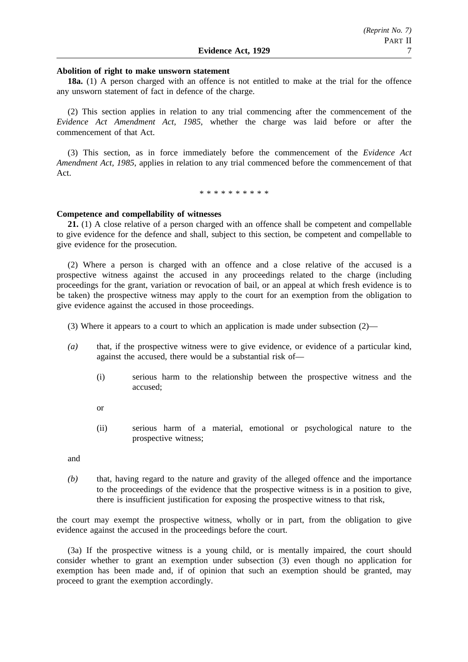### **Abolition of right to make unsworn statement**

**18a.** (1) A person charged with an offence is not entitled to make at the trial for the offence any unsworn statement of fact in defence of the charge.

(2) This section applies in relation to any trial commencing after the commencement of the *Evidence Act Amendment Act, 1985*, whether the charge was laid before or after the commencement of that Act.

(3) This section, as in force immediately before the commencement of the *Evidence Act Amendment Act, 1985*, applies in relation to any trial commenced before the commencement of that Act.

\*\*\*\*\*\*\*\*\*\*

#### **Competence and compellability of witnesses**

**21.** (1) A close relative of a person charged with an offence shall be competent and compellable to give evidence for the defence and shall, subject to this section, be competent and compellable to give evidence for the prosecution.

(2) Where a person is charged with an offence and a close relative of the accused is a prospective witness against the accused in any proceedings related to the charge (including proceedings for the grant, variation or revocation of bail, or an appeal at which fresh evidence is to be taken) the prospective witness may apply to the court for an exemption from the obligation to give evidence against the accused in those proceedings.

- (3) Where it appears to a court to which an application is made under subsection  $(2)$ —
- *(a)* that, if the prospective witness were to give evidence, or evidence of a particular kind, against the accused, there would be a substantial risk of—
	- (i) serious harm to the relationship between the prospective witness and the accused;
	- or
	- (ii) serious harm of a material, emotional or psychological nature to the prospective witness;

and

*(b)* that, having regard to the nature and gravity of the alleged offence and the importance to the proceedings of the evidence that the prospective witness is in a position to give, there is insufficient justification for exposing the prospective witness to that risk,

the court may exempt the prospective witness, wholly or in part, from the obligation to give evidence against the accused in the proceedings before the court.

(3a) If the prospective witness is a young child, or is mentally impaired, the court should consider whether to grant an exemption under subsection (3) even though no application for exemption has been made and, if of opinion that such an exemption should be granted, may proceed to grant the exemption accordingly.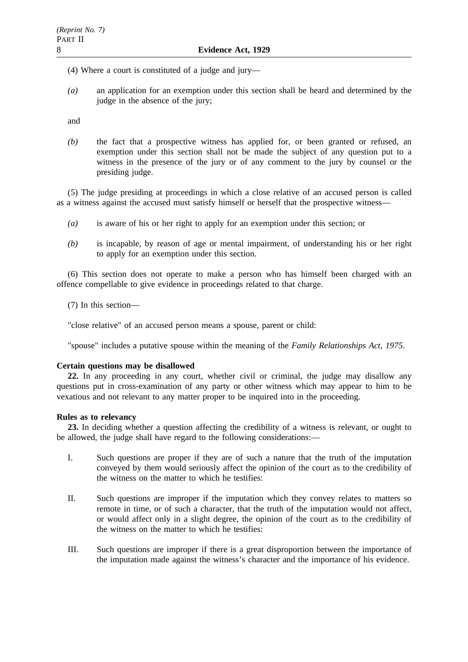- (4) Where a court is constituted of a judge and jury—
- *(a)* an application for an exemption under this section shall be heard and determined by the judge in the absence of the jury;

and

*(b)* the fact that a prospective witness has applied for, or been granted or refused, an exemption under this section shall not be made the subject of any question put to a witness in the presence of the jury or of any comment to the jury by counsel or the presiding judge.

(5) The judge presiding at proceedings in which a close relative of an accused person is called as a witness against the accused must satisfy himself or herself that the prospective witness—

- *(a)* is aware of his or her right to apply for an exemption under this section; or
- *(b)* is incapable, by reason of age or mental impairment, of understanding his or her right to apply for an exemption under this section.

(6) This section does not operate to make a person who has himself been charged with an offence compellable to give evidence in proceedings related to that charge.

(7) In this section—

"close relative" of an accused person means a spouse, parent or child:

"spouse" includes a putative spouse within the meaning of the *Family Relationships Act, 1975*.

### **Certain questions may be disallowed**

**22.** In any proceeding in any court, whether civil or criminal, the judge may disallow any questions put in cross-examination of any party or other witness which may appear to him to be vexatious and not relevant to any matter proper to be inquired into in the proceeding.

## **Rules as to relevancy**

**23.** In deciding whether a question affecting the credibility of a witness is relevant, or ought to be allowed, the judge shall have regard to the following considerations:—

- I. Such questions are proper if they are of such a nature that the truth of the imputation conveyed by them would seriously affect the opinion of the court as to the credibility of the witness on the matter to which he testifies:
- II. Such questions are improper if the imputation which they convey relates to matters so remote in time, or of such a character, that the truth of the imputation would not affect, or would affect only in a slight degree, the opinion of the court as to the credibility of the witness on the matter to which he testifies:
- III. Such questions are improper if there is a great disproportion between the importance of the imputation made against the witness's character and the importance of his evidence.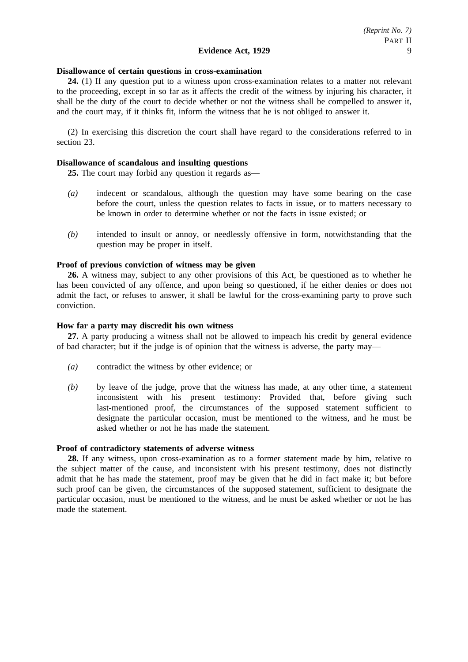### **Disallowance of certain questions in cross-examination**

**24.** (1) If any question put to a witness upon cross-examination relates to a matter not relevant to the proceeding, except in so far as it affects the credit of the witness by injuring his character, it shall be the duty of the court to decide whether or not the witness shall be compelled to answer it, and the court may, if it thinks fit, inform the witness that he is not obliged to answer it.

(2) In exercising this discretion the court shall have regard to the considerations referred to in section 23.

#### **Disallowance of scandalous and insulting questions**

**25.** The court may forbid any question it regards as—

- *(a)* indecent or scandalous, although the question may have some bearing on the case before the court, unless the question relates to facts in issue, or to matters necessary to be known in order to determine whether or not the facts in issue existed; or
- *(b)* intended to insult or annoy, or needlessly offensive in form, notwithstanding that the question may be proper in itself.

### **Proof of previous conviction of witness may be given**

**26.** A witness may, subject to any other provisions of this Act, be questioned as to whether he has been convicted of any offence, and upon being so questioned, if he either denies or does not admit the fact, or refuses to answer, it shall be lawful for the cross-examining party to prove such conviction.

### **How far a party may discredit his own witness**

**27.** A party producing a witness shall not be allowed to impeach his credit by general evidence of bad character; but if the judge is of opinion that the witness is adverse, the party may—

- *(a)* contradict the witness by other evidence; or
- *(b)* by leave of the judge, prove that the witness has made, at any other time, a statement inconsistent with his present testimony: Provided that, before giving such last-mentioned proof, the circumstances of the supposed statement sufficient to designate the particular occasion, must be mentioned to the witness, and he must be asked whether or not he has made the statement.

### **Proof of contradictory statements of adverse witness**

**28.** If any witness, upon cross-examination as to a former statement made by him, relative to the subject matter of the cause, and inconsistent with his present testimony, does not distinctly admit that he has made the statement, proof may be given that he did in fact make it; but before such proof can be given, the circumstances of the supposed statement, sufficient to designate the particular occasion, must be mentioned to the witness, and he must be asked whether or not he has made the statement.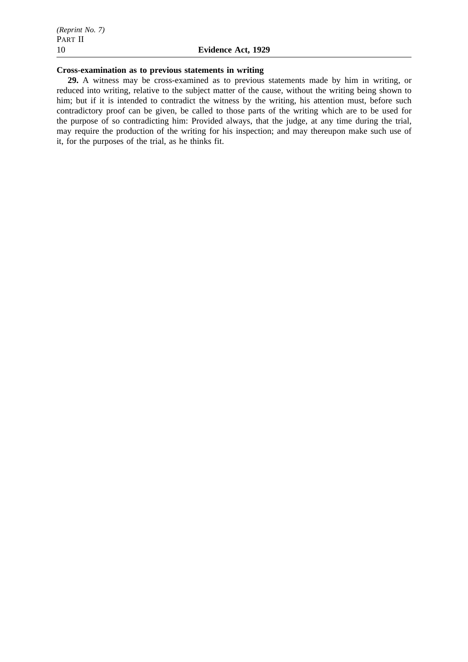## **Cross-examination as to previous statements in writing**

**29.** A witness may be cross-examined as to previous statements made by him in writing, or reduced into writing, relative to the subject matter of the cause, without the writing being shown to him; but if it is intended to contradict the witness by the writing, his attention must, before such contradictory proof can be given, be called to those parts of the writing which are to be used for the purpose of so contradicting him: Provided always, that the judge, at any time during the trial, may require the production of the writing for his inspection; and may thereupon make such use of it, for the purposes of the trial, as he thinks fit.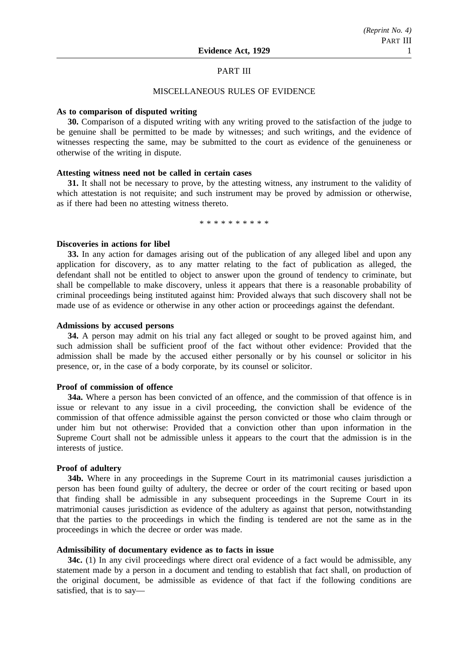### PART III

### MISCELLANEOUS RULES OF EVIDENCE

### **As to comparison of disputed writing**

**30.** Comparison of a disputed writing with any writing proved to the satisfaction of the judge to be genuine shall be permitted to be made by witnesses; and such writings, and the evidence of witnesses respecting the same, may be submitted to the court as evidence of the genuineness or otherwise of the writing in dispute.

### **Attesting witness need not be called in certain cases**

**31.** It shall not be necessary to prove, by the attesting witness, any instrument to the validity of which attestation is not requisite; and such instrument may be proved by admission or otherwise, as if there had been no attesting witness thereto.

\*\*\*\*\*\*\*\*\*\*

### **Discoveries in actions for libel**

**33.** In any action for damages arising out of the publication of any alleged libel and upon any application for discovery, as to any matter relating to the fact of publication as alleged, the defendant shall not be entitled to object to answer upon the ground of tendency to criminate, but shall be compellable to make discovery, unless it appears that there is a reasonable probability of criminal proceedings being instituted against him: Provided always that such discovery shall not be made use of as evidence or otherwise in any other action or proceedings against the defendant.

### **Admissions by accused persons**

**34.** A person may admit on his trial any fact alleged or sought to be proved against him, and such admission shall be sufficient proof of the fact without other evidence: Provided that the admission shall be made by the accused either personally or by his counsel or solicitor in his presence, or, in the case of a body corporate, by its counsel or solicitor.

### **Proof of commission of offence**

**34a.** Where a person has been convicted of an offence, and the commission of that offence is in issue or relevant to any issue in a civil proceeding, the conviction shall be evidence of the commission of that offence admissible against the person convicted or those who claim through or under him but not otherwise: Provided that a conviction other than upon information in the Supreme Court shall not be admissible unless it appears to the court that the admission is in the interests of justice.

## **Proof of adultery**

**34b.** Where in any proceedings in the Supreme Court in its matrimonial causes jurisdiction a person has been found guilty of adultery, the decree or order of the court reciting or based upon that finding shall be admissible in any subsequent proceedings in the Supreme Court in its matrimonial causes jurisdiction as evidence of the adultery as against that person, notwithstanding that the parties to the proceedings in which the finding is tendered are not the same as in the proceedings in which the decree or order was made.

## **Admissibility of documentary evidence as to facts in issue**

**34c.** (1) In any civil proceedings where direct oral evidence of a fact would be admissible, any statement made by a person in a document and tending to establish that fact shall, on production of the original document, be admissible as evidence of that fact if the following conditions are satisfied, that is to say—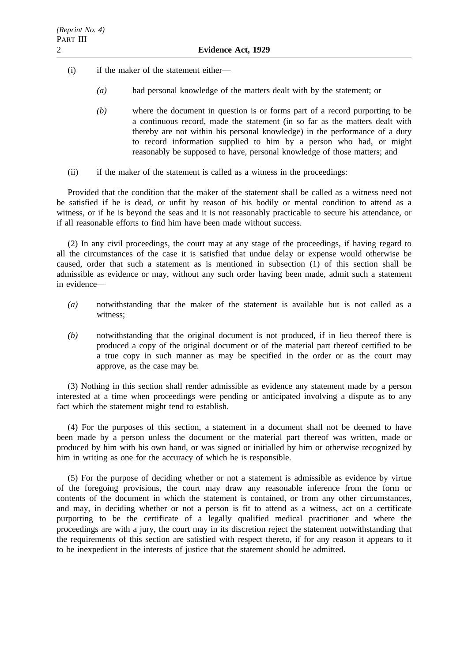- (i) if the maker of the statement either—
	- *(a)* had personal knowledge of the matters dealt with by the statement; or
	- *(b)* where the document in question is or forms part of a record purporting to be a continuous record, made the statement (in so far as the matters dealt with thereby are not within his personal knowledge) in the performance of a duty to record information supplied to him by a person who had, or might reasonably be supposed to have, personal knowledge of those matters; and
- (ii) if the maker of the statement is called as a witness in the proceedings:

Provided that the condition that the maker of the statement shall be called as a witness need not be satisfied if he is dead, or unfit by reason of his bodily or mental condition to attend as a witness, or if he is beyond the seas and it is not reasonably practicable to secure his attendance, or if all reasonable efforts to find him have been made without success.

(2) In any civil proceedings, the court may at any stage of the proceedings, if having regard to all the circumstances of the case it is satisfied that undue delay or expense would otherwise be caused, order that such a statement as is mentioned in subsection (1) of this section shall be admissible as evidence or may, without any such order having been made, admit such a statement in evidence—

- *(a)* notwithstanding that the maker of the statement is available but is not called as a witness;
- *(b)* notwithstanding that the original document is not produced, if in lieu thereof there is produced a copy of the original document or of the material part thereof certified to be a true copy in such manner as may be specified in the order or as the court may approve, as the case may be.

(3) Nothing in this section shall render admissible as evidence any statement made by a person interested at a time when proceedings were pending or anticipated involving a dispute as to any fact which the statement might tend to establish.

(4) For the purposes of this section, a statement in a document shall not be deemed to have been made by a person unless the document or the material part thereof was written, made or produced by him with his own hand, or was signed or initialled by him or otherwise recognized by him in writing as one for the accuracy of which he is responsible.

(5) For the purpose of deciding whether or not a statement is admissible as evidence by virtue of the foregoing provisions, the court may draw any reasonable inference from the form or contents of the document in which the statement is contained, or from any other circumstances, and may, in deciding whether or not a person is fit to attend as a witness, act on a certificate purporting to be the certificate of a legally qualified medical practitioner and where the proceedings are with a jury, the court may in its discretion reject the statement notwithstanding that the requirements of this section are satisfied with respect thereto, if for any reason it appears to it to be inexpedient in the interests of justice that the statement should be admitted.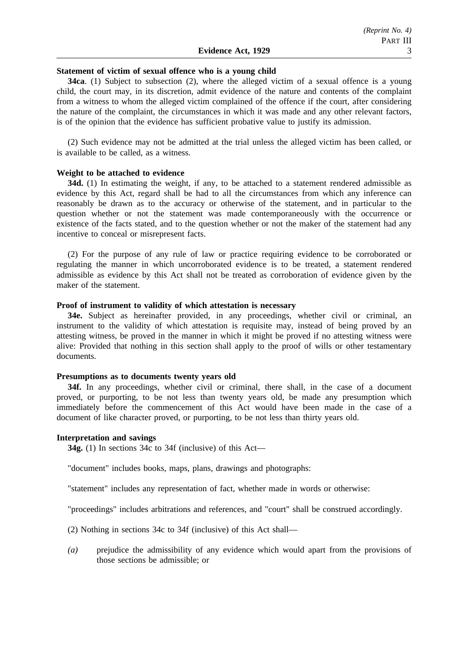### **Statement of victim of sexual offence who is a young child**

**34ca**. (1) Subject to subsection (2), where the alleged victim of a sexual offence is a young child, the court may, in its discretion, admit evidence of the nature and contents of the complaint from a witness to whom the alleged victim complained of the offence if the court, after considering the nature of the complaint, the circumstances in which it was made and any other relevant factors, is of the opinion that the evidence has sufficient probative value to justify its admission.

(2) Such evidence may not be admitted at the trial unless the alleged victim has been called, or is available to be called, as a witness.

## **Weight to be attached to evidence**

**34d.** (1) In estimating the weight, if any, to be attached to a statement rendered admissible as evidence by this Act, regard shall be had to all the circumstances from which any inference can reasonably be drawn as to the accuracy or otherwise of the statement, and in particular to the question whether or not the statement was made contemporaneously with the occurrence or existence of the facts stated, and to the question whether or not the maker of the statement had any incentive to conceal or misrepresent facts.

(2) For the purpose of any rule of law or practice requiring evidence to be corroborated or regulating the manner in which uncorroborated evidence is to be treated, a statement rendered admissible as evidence by this Act shall not be treated as corroboration of evidence given by the maker of the statement.

## **Proof of instrument to validity of which attestation is necessary**

**34e.** Subject as hereinafter provided, in any proceedings, whether civil or criminal, an instrument to the validity of which attestation is requisite may, instead of being proved by an attesting witness, be proved in the manner in which it might be proved if no attesting witness were alive: Provided that nothing in this section shall apply to the proof of wills or other testamentary documents.

### **Presumptions as to documents twenty years old**

**34f.** In any proceedings, whether civil or criminal, there shall, in the case of a document proved, or purporting, to be not less than twenty years old, be made any presumption which immediately before the commencement of this Act would have been made in the case of a document of like character proved, or purporting, to be not less than thirty years old.

#### **Interpretation and savings**

**34g.** (1) In sections 34c to 34f (inclusive) of this Act—

"document" includes books, maps, plans, drawings and photographs:

"statement" includes any representation of fact, whether made in words or otherwise:

"proceedings" includes arbitrations and references, and "court" shall be construed accordingly.

(2) Nothing in sections 34c to 34f (inclusive) of this Act shall—

*(a)* prejudice the admissibility of any evidence which would apart from the provisions of those sections be admissible; or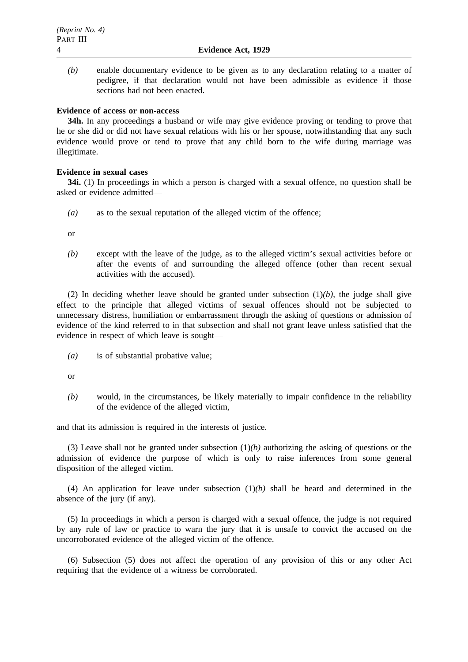*(b)* enable documentary evidence to be given as to any declaration relating to a matter of pedigree, if that declaration would not have been admissible as evidence if those sections had not been enacted.

### **Evidence of access or non-access**

**34h.** In any proceedings a husband or wife may give evidence proving or tending to prove that he or she did or did not have sexual relations with his or her spouse, notwithstanding that any such evidence would prove or tend to prove that any child born to the wife during marriage was illegitimate.

## **Evidence in sexual cases**

**34i.** (1) In proceedings in which a person is charged with a sexual offence, no question shall be asked or evidence admitted—

*(a)* as to the sexual reputation of the alleged victim of the offence;

or

*(b)* except with the leave of the judge, as to the alleged victim's sexual activities before or after the events of and surrounding the alleged offence (other than recent sexual activities with the accused).

(2) In deciding whether leave should be granted under subsection  $(1)(b)$ , the judge shall give effect to the principle that alleged victims of sexual offences should not be subjected to unnecessary distress, humiliation or embarrassment through the asking of questions or admission of evidence of the kind referred to in that subsection and shall not grant leave unless satisfied that the evidence in respect of which leave is sought—

*(a)* is of substantial probative value;

or

*(b)* would, in the circumstances, be likely materially to impair confidence in the reliability of the evidence of the alleged victim,

and that its admission is required in the interests of justice.

(3) Leave shall not be granted under subsection (1)*(b)* authorizing the asking of questions or the admission of evidence the purpose of which is only to raise inferences from some general disposition of the alleged victim.

(4) An application for leave under subsection (1)*(b)* shall be heard and determined in the absence of the jury (if any).

(5) In proceedings in which a person is charged with a sexual offence, the judge is not required by any rule of law or practice to warn the jury that it is unsafe to convict the accused on the uncorroborated evidence of the alleged victim of the offence.

(6) Subsection (5) does not affect the operation of any provision of this or any other Act requiring that the evidence of a witness be corroborated.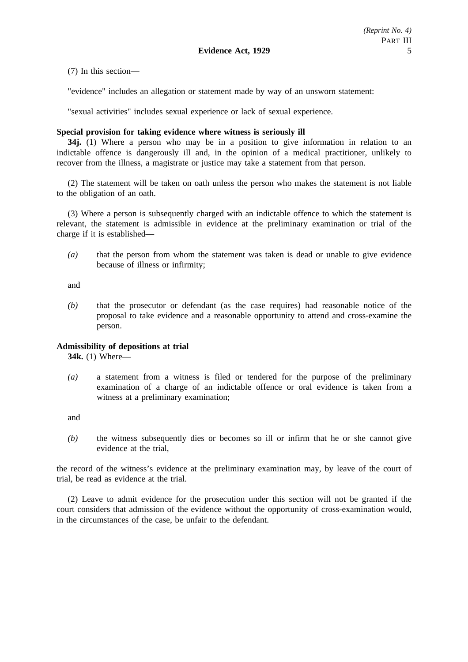(7) In this section—

"evidence" includes an allegation or statement made by way of an unsworn statement:

"sexual activities" includes sexual experience or lack of sexual experience.

### **Special provision for taking evidence where witness is seriously ill**

**34j.** (1) Where a person who may be in a position to give information in relation to an indictable offence is dangerously ill and, in the opinion of a medical practitioner, unlikely to recover from the illness, a magistrate or justice may take a statement from that person.

(2) The statement will be taken on oath unless the person who makes the statement is not liable to the obligation of an oath.

(3) Where a person is subsequently charged with an indictable offence to which the statement is relevant, the statement is admissible in evidence at the preliminary examination or trial of the charge if it is established—

*(a)* that the person from whom the statement was taken is dead or unable to give evidence because of illness or infirmity;

and

*(b)* that the prosecutor or defendant (as the case requires) had reasonable notice of the proposal to take evidence and a reasonable opportunity to attend and cross-examine the person.

### **Admissibility of depositions at trial**

**34k.** (1) Where—

*(a)* a statement from a witness is filed or tendered for the purpose of the preliminary examination of a charge of an indictable offence or oral evidence is taken from a witness at a preliminary examination;

and

*(b)* the witness subsequently dies or becomes so ill or infirm that he or she cannot give evidence at the trial,

the record of the witness's evidence at the preliminary examination may, by leave of the court of trial, be read as evidence at the trial.

(2) Leave to admit evidence for the prosecution under this section will not be granted if the court considers that admission of the evidence without the opportunity of cross-examination would, in the circumstances of the case, be unfair to the defendant.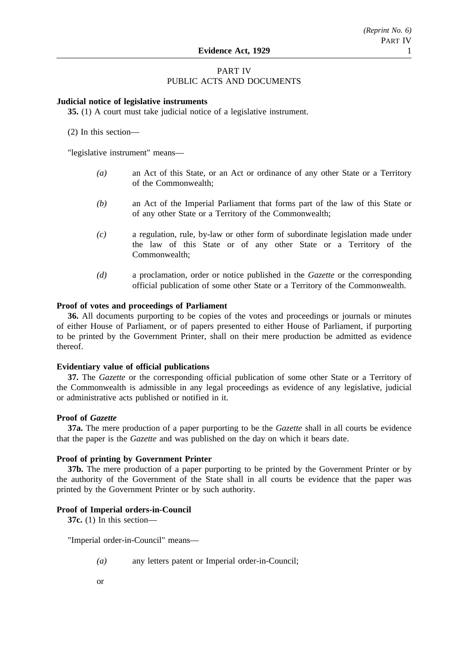## PART IV PUBLIC ACTS AND DOCUMENTS

### **Judicial notice of legislative instruments**

**35.** (1) A court must take judicial notice of a legislative instrument.

(2) In this section—

"legislative instrument" means—

- *(a)* an Act of this State, or an Act or ordinance of any other State or a Territory of the Commonwealth;
- *(b)* an Act of the Imperial Parliament that forms part of the law of this State or of any other State or a Territory of the Commonwealth;
- *(c)* a regulation, rule, by-law or other form of subordinate legislation made under the law of this State or of any other State or a Territory of the Commonwealth;
- *(d)* a proclamation, order or notice published in the *Gazette* or the corresponding official publication of some other State or a Territory of the Commonwealth.

## **Proof of votes and proceedings of Parliament**

**36.** All documents purporting to be copies of the votes and proceedings or journals or minutes of either House of Parliament, or of papers presented to either House of Parliament, if purporting to be printed by the Government Printer, shall on their mere production be admitted as evidence thereof.

## **Evidentiary value of official publications**

**37.** The *Gazette* or the corresponding official publication of some other State or a Territory of the Commonwealth is admissible in any legal proceedings as evidence of any legislative, judicial or administrative acts published or notified in it.

### **Proof of** *Gazette*

**37a.** The mere production of a paper purporting to be the *Gazette* shall in all courts be evidence that the paper is the *Gazette* and was published on the day on which it bears date.

### **Proof of printing by Government Printer**

**37b.** The mere production of a paper purporting to be printed by the Government Printer or by the authority of the Government of the State shall in all courts be evidence that the paper was printed by the Government Printer or by such authority.

### **Proof of Imperial orders-in-Council**

**37c.** (1) In this section—

"Imperial order-in-Council" means—

- *(a)* any letters patent or Imperial order-in-Council;
- or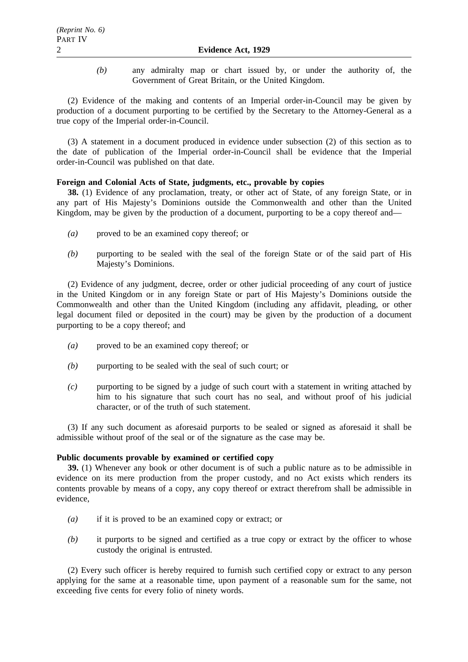*(b)* any admiralty map or chart issued by, or under the authority of, the Government of Great Britain, or the United Kingdom.

(2) Evidence of the making and contents of an Imperial order-in-Council may be given by production of a document purporting to be certified by the Secretary to the Attorney-General as a true copy of the Imperial order-in-Council.

(3) A statement in a document produced in evidence under subsection (2) of this section as to the date of publication of the Imperial order-in-Council shall be evidence that the Imperial order-in-Council was published on that date.

## **Foreign and Colonial Acts of State, judgments, etc., provable by copies**

**38.** (1) Evidence of any proclamation, treaty, or other act of State, of any foreign State, or in any part of His Majesty's Dominions outside the Commonwealth and other than the United Kingdom, may be given by the production of a document, purporting to be a copy thereof and—

- *(a)* proved to be an examined copy thereof; or
- *(b)* purporting to be sealed with the seal of the foreign State or of the said part of His Majesty's Dominions.

(2) Evidence of any judgment, decree, order or other judicial proceeding of any court of justice in the United Kingdom or in any foreign State or part of His Majesty's Dominions outside the Commonwealth and other than the United Kingdom (including any affidavit, pleading, or other legal document filed or deposited in the court) may be given by the production of a document purporting to be a copy thereof; and

- *(a)* proved to be an examined copy thereof; or
- *(b)* purporting to be sealed with the seal of such court; or
- *(c)* purporting to be signed by a judge of such court with a statement in writing attached by him to his signature that such court has no seal, and without proof of his judicial character, or of the truth of such statement.

(3) If any such document as aforesaid purports to be sealed or signed as aforesaid it shall be admissible without proof of the seal or of the signature as the case may be.

### **Public documents provable by examined or certified copy**

**39.** (1) Whenever any book or other document is of such a public nature as to be admissible in evidence on its mere production from the proper custody, and no Act exists which renders its contents provable by means of a copy, any copy thereof or extract therefrom shall be admissible in evidence,

- *(a)* if it is proved to be an examined copy or extract; or
- *(b)* it purports to be signed and certified as a true copy or extract by the officer to whose custody the original is entrusted.

(2) Every such officer is hereby required to furnish such certified copy or extract to any person applying for the same at a reasonable time, upon payment of a reasonable sum for the same, not exceeding five cents for every folio of ninety words.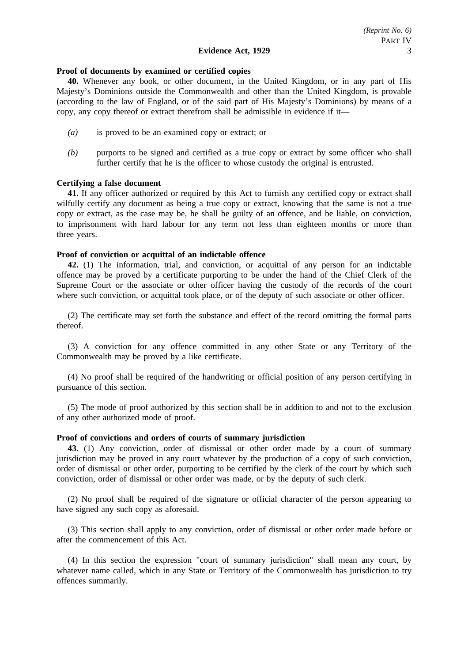### **Proof of documents by examined or certified copies**

**40.** Whenever any book, or other document, in the United Kingdom, or in any part of His Majesty's Dominions outside the Commonwealth and other than the United Kingdom, is provable (according to the law of England, or of the said part of His Majesty's Dominions) by means of a copy, any copy thereof or extract therefrom shall be admissible in evidence if it—

- *(a)* is proved to be an examined copy or extract; or
- *(b)* purports to be signed and certified as a true copy or extract by some officer who shall further certify that he is the officer to whose custody the original is entrusted.

### **Certifying a false document**

**41.** If any officer authorized or required by this Act to furnish any certified copy or extract shall wilfully certify any document as being a true copy or extract, knowing that the same is not a true copy or extract, as the case may be, he shall be guilty of an offence, and be liable, on conviction, to imprisonment with hard labour for any term not less than eighteen months or more than three years.

## **Proof of conviction or acquittal of an indictable offence**

**42.** (1) The information, trial, and conviction, or acquittal of any person for an indictable offence may be proved by a certificate purporting to be under the hand of the Chief Clerk of the Supreme Court or the associate or other officer having the custody of the records of the court where such conviction, or acquittal took place, or of the deputy of such associate or other officer.

(2) The certificate may set forth the substance and effect of the record omitting the formal parts thereof.

(3) A conviction for any offence committed in any other State or any Territory of the Commonwealth may be proved by a like certificate.

(4) No proof shall be required of the handwriting or official position of any person certifying in pursuance of this section.

(5) The mode of proof authorized by this section shall be in addition to and not to the exclusion of any other authorized mode of proof.

### **Proof of convictions and orders of courts of summary jurisdiction**

**43.** (1) Any conviction, order of dismissal or other order made by a court of summary jurisdiction may be proved in any court whatever by the production of a copy of such conviction, order of dismissal or other order, purporting to be certified by the clerk of the court by which such conviction, order of dismissal or other order was made, or by the deputy of such clerk.

(2) No proof shall be required of the signature or official character of the person appearing to have signed any such copy as aforesaid.

(3) This section shall apply to any conviction, order of dismissal or other order made before or after the commencement of this Act.

(4) In this section the expression "court of summary jurisdiction" shall mean any court, by whatever name called, which in any State or Territory of the Commonwealth has jurisdiction to try offences summarily.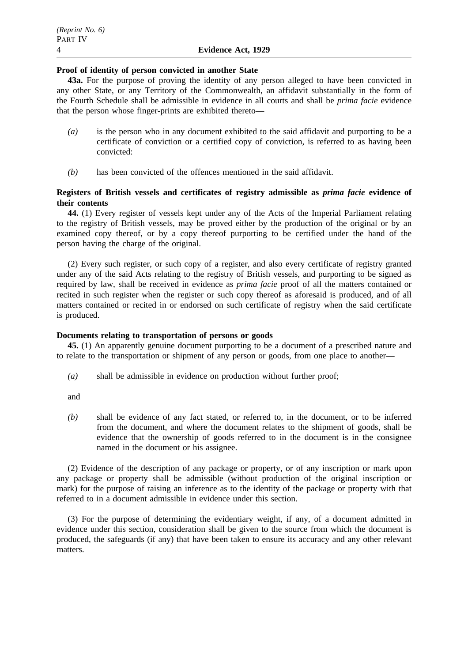## **Proof of identity of person convicted in another State**

**43a.** For the purpose of proving the identity of any person alleged to have been convicted in any other State, or any Territory of the Commonwealth, an affidavit substantially in the form of the Fourth Schedule shall be admissible in evidence in all courts and shall be *prima facie* evidence that the person whose finger-prints are exhibited thereto—

- *(a)* is the person who in any document exhibited to the said affidavit and purporting to be a certificate of conviction or a certified copy of conviction, is referred to as having been convicted:
- *(b)* has been convicted of the offences mentioned in the said affidavit.

## **Registers of British vessels and certificates of registry admissible as** *prima facie* **evidence of their contents**

**44.** (1) Every register of vessels kept under any of the Acts of the Imperial Parliament relating to the registry of British vessels, may be proved either by the production of the original or by an examined copy thereof, or by a copy thereof purporting to be certified under the hand of the person having the charge of the original.

(2) Every such register, or such copy of a register, and also every certificate of registry granted under any of the said Acts relating to the registry of British vessels, and purporting to be signed as required by law, shall be received in evidence as *prima facie* proof of all the matters contained or recited in such register when the register or such copy thereof as aforesaid is produced, and of all matters contained or recited in or endorsed on such certificate of registry when the said certificate is produced.

## **Documents relating to transportation of persons or goods**

**45.** (1) An apparently genuine document purporting to be a document of a prescribed nature and to relate to the transportation or shipment of any person or goods, from one place to another—

*(a)* shall be admissible in evidence on production without further proof;

and

*(b)* shall be evidence of any fact stated, or referred to, in the document, or to be inferred from the document, and where the document relates to the shipment of goods, shall be evidence that the ownership of goods referred to in the document is in the consignee named in the document or his assignee.

(2) Evidence of the description of any package or property, or of any inscription or mark upon any package or property shall be admissible (without production of the original inscription or mark) for the purpose of raising an inference as to the identity of the package or property with that referred to in a document admissible in evidence under this section.

(3) For the purpose of determining the evidentiary weight, if any, of a document admitted in evidence under this section, consideration shall be given to the source from which the document is produced, the safeguards (if any) that have been taken to ensure its accuracy and any other relevant matters.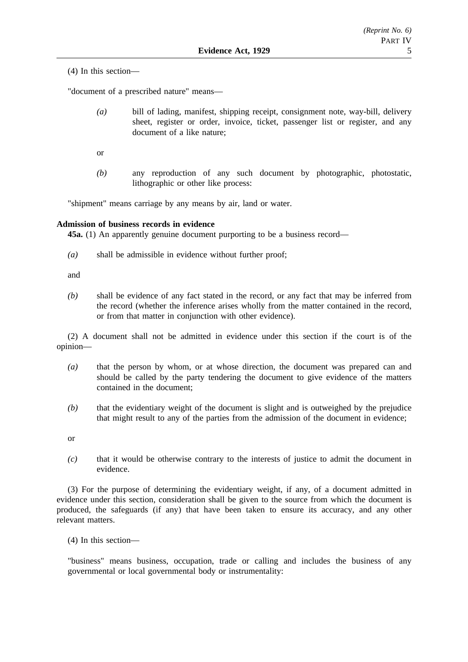(4) In this section—

"document of a prescribed nature" means—

- *(a)* bill of lading, manifest, shipping receipt, consignment note, way-bill, delivery sheet, register or order, invoice, ticket, passenger list or register, and any document of a like nature;
- or
- *(b)* any reproduction of any such document by photographic, photostatic, lithographic or other like process:

"shipment" means carriage by any means by air, land or water.

## **Admission of business records in evidence**

**45a.** (1) An apparently genuine document purporting to be a business record—

*(a)* shall be admissible in evidence without further proof;

and

*(b)* shall be evidence of any fact stated in the record, or any fact that may be inferred from the record (whether the inference arises wholly from the matter contained in the record, or from that matter in conjunction with other evidence).

(2) A document shall not be admitted in evidence under this section if the court is of the opinion—

- *(a)* that the person by whom, or at whose direction, the document was prepared can and should be called by the party tendering the document to give evidence of the matters contained in the document;
- *(b)* that the evidentiary weight of the document is slight and is outweighed by the prejudice that might result to any of the parties from the admission of the document in evidence;

or

*(c)* that it would be otherwise contrary to the interests of justice to admit the document in evidence.

(3) For the purpose of determining the evidentiary weight, if any, of a document admitted in evidence under this section, consideration shall be given to the source from which the document is produced, the safeguards (if any) that have been taken to ensure its accuracy, and any other relevant matters.

(4) In this section—

"business" means business, occupation, trade or calling and includes the business of any governmental or local governmental body or instrumentality: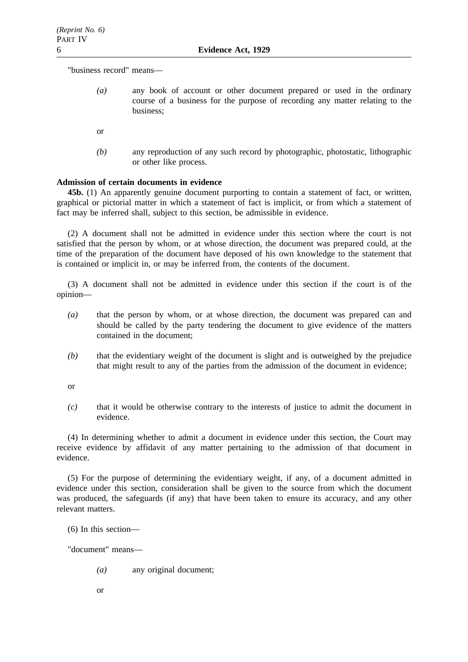"business record" means—

- *(a)* any book of account or other document prepared or used in the ordinary course of a business for the purpose of recording any matter relating to the business;
- or
- *(b)* any reproduction of any such record by photographic, photostatic, lithographic or other like process.

## **Admission of certain documents in evidence**

**45b.** (1) An apparently genuine document purporting to contain a statement of fact, or written, graphical or pictorial matter in which a statement of fact is implicit, or from which a statement of fact may be inferred shall, subject to this section, be admissible in evidence.

(2) A document shall not be admitted in evidence under this section where the court is not satisfied that the person by whom, or at whose direction, the document was prepared could, at the time of the preparation of the document have deposed of his own knowledge to the statement that is contained or implicit in, or may be inferred from, the contents of the document.

(3) A document shall not be admitted in evidence under this section if the court is of the opinion—

- *(a)* that the person by whom, or at whose direction, the document was prepared can and should be called by the party tendering the document to give evidence of the matters contained in the document;
- *(b)* that the evidentiary weight of the document is slight and is outweighed by the prejudice that might result to any of the parties from the admission of the document in evidence;

or

*(c)* that it would be otherwise contrary to the interests of justice to admit the document in evidence.

(4) In determining whether to admit a document in evidence under this section, the Court may receive evidence by affidavit of any matter pertaining to the admission of that document in evidence.

(5) For the purpose of determining the evidentiary weight, if any, of a document admitted in evidence under this section, consideration shall be given to the source from which the document was produced, the safeguards (if any) that have been taken to ensure its accuracy, and any other relevant matters.

(6) In this section—

"document" means—

- *(a)* any original document;
- or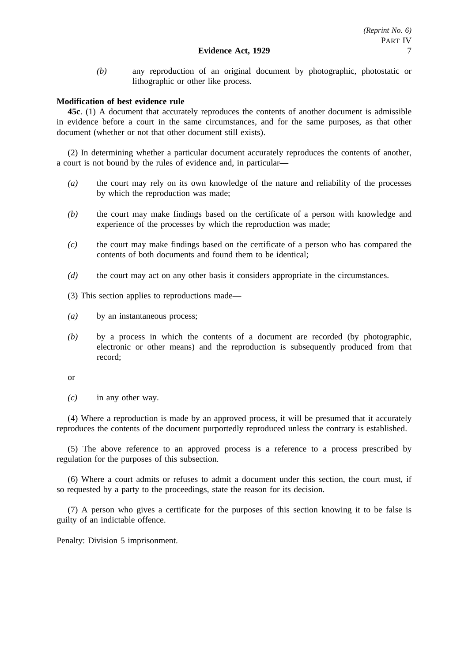*(b)* any reproduction of an original document by photographic, photostatic or lithographic or other like process.

## **Modification of best evidence rule**

**45c**. (1) A document that accurately reproduces the contents of another document is admissible in evidence before a court in the same circumstances, and for the same purposes, as that other document (whether or not that other document still exists).

(2) In determining whether a particular document accurately reproduces the contents of another, a court is not bound by the rules of evidence and, in particular—

- *(a)* the court may rely on its own knowledge of the nature and reliability of the processes by which the reproduction was made;
- *(b)* the court may make findings based on the certificate of a person with knowledge and experience of the processes by which the reproduction was made;
- *(c)* the court may make findings based on the certificate of a person who has compared the contents of both documents and found them to be identical;
- *(d)* the court may act on any other basis it considers appropriate in the circumstances.

(3) This section applies to reproductions made—

- *(a)* by an instantaneous process;
- *(b)* by a process in which the contents of a document are recorded (by photographic, electronic or other means) and the reproduction is subsequently produced from that record;

or

*(c)* in any other way.

(4) Where a reproduction is made by an approved process, it will be presumed that it accurately reproduces the contents of the document purportedly reproduced unless the contrary is established.

(5) The above reference to an approved process is a reference to a process prescribed by regulation for the purposes of this subsection.

(6) Where a court admits or refuses to admit a document under this section, the court must, if so requested by a party to the proceedings, state the reason for its decision.

(7) A person who gives a certificate for the purposes of this section knowing it to be false is guilty of an indictable offence.

Penalty: Division 5 imprisonment.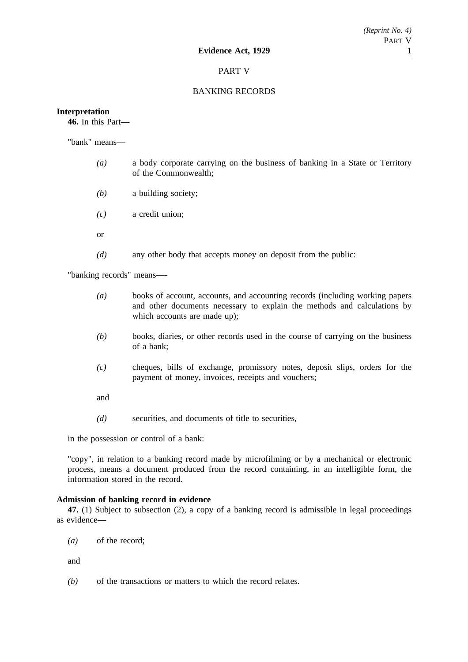## PART V

## BANKING RECORDS

### **Interpretation**

**46.** In this Part—

"bank" means—

- *(a)* a body corporate carrying on the business of banking in a State or Territory of the Commonwealth;
- *(b)* a building society;
- *(c)* a credit union;
- or
- *(d)* any other body that accepts money on deposit from the public:

"banking records" means—-

- *(a)* books of account, accounts, and accounting records (including working papers and other documents necessary to explain the methods and calculations by which accounts are made up);
- *(b)* books, diaries, or other records used in the course of carrying on the business of a bank;
- *(c)* cheques, bills of exchange, promissory notes, deposit slips, orders for the payment of money, invoices, receipts and vouchers;

and

*(d)* securities, and documents of title to securities,

in the possession or control of a bank:

"copy", in relation to a banking record made by microfilming or by a mechanical or electronic process, means a document produced from the record containing, in an intelligible form, the information stored in the record.

## **Admission of banking record in evidence**

**47.** (1) Subject to subsection (2), a copy of a banking record is admissible in legal proceedings as evidence—

*(a)* of the record;

and

*(b)* of the transactions or matters to which the record relates.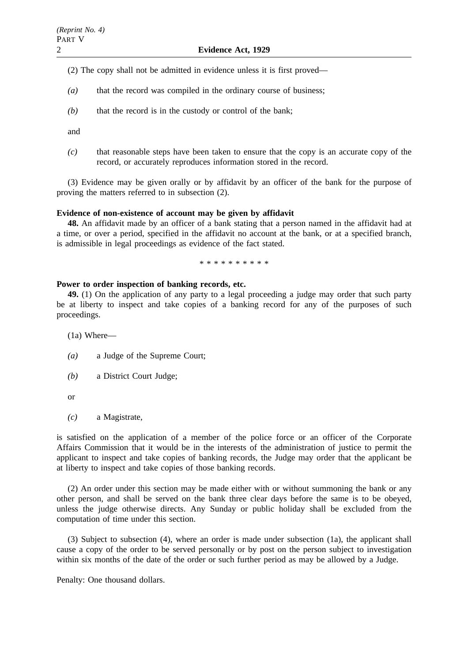(2) The copy shall not be admitted in evidence unless it is first proved—

- *(a)* that the record was compiled in the ordinary course of business;
- *(b)* that the record is in the custody or control of the bank;

and

*(c)* that reasonable steps have been taken to ensure that the copy is an accurate copy of the record, or accurately reproduces information stored in the record.

(3) Evidence may be given orally or by affidavit by an officer of the bank for the purpose of proving the matters referred to in subsection (2).

## **Evidence of non-existence of account may be given by affidavit**

**48.** An affidavit made by an officer of a bank stating that a person named in the affidavit had at a time, or over a period, specified in the affidavit no account at the bank, or at a specified branch, is admissible in legal proceedings as evidence of the fact stated.

\*\*\*\*\*\*\*\*\*\*

### **Power to order inspection of banking records, etc.**

**49.** (1) On the application of any party to a legal proceeding a judge may order that such party be at liberty to inspect and take copies of a banking record for any of the purposes of such proceedings.

(1a) Where—

- *(a)* a Judge of the Supreme Court;
- *(b)* a District Court Judge;
- or
- *(c)* a Magistrate,

is satisfied on the application of a member of the police force or an officer of the Corporate Affairs Commission that it would be in the interests of the administration of justice to permit the applicant to inspect and take copies of banking records, the Judge may order that the applicant be at liberty to inspect and take copies of those banking records.

(2) An order under this section may be made either with or without summoning the bank or any other person, and shall be served on the bank three clear days before the same is to be obeyed, unless the judge otherwise directs. Any Sunday or public holiday shall be excluded from the computation of time under this section.

(3) Subject to subsection (4), where an order is made under subsection (1a), the applicant shall cause a copy of the order to be served personally or by post on the person subject to investigation within six months of the date of the order or such further period as may be allowed by a Judge.

Penalty: One thousand dollars.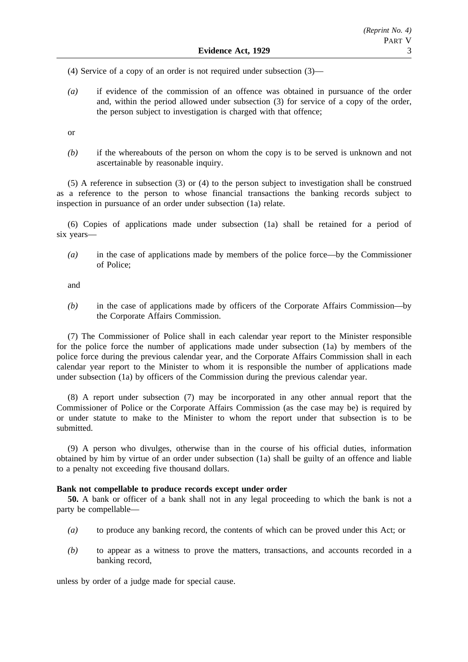(4) Service of a copy of an order is not required under subsection (3)—

*(a)* if evidence of the commission of an offence was obtained in pursuance of the order and, within the period allowed under subsection (3) for service of a copy of the order, the person subject to investigation is charged with that offence;

or

*(b)* if the whereabouts of the person on whom the copy is to be served is unknown and not ascertainable by reasonable inquiry.

(5) A reference in subsection (3) or (4) to the person subject to investigation shall be construed as a reference to the person to whose financial transactions the banking records subject to inspection in pursuance of an order under subsection (1a) relate.

(6) Copies of applications made under subsection (1a) shall be retained for a period of six years—

*(a)* in the case of applications made by members of the police force—by the Commissioner of Police;

and

*(b)* in the case of applications made by officers of the Corporate Affairs Commission—by the Corporate Affairs Commission.

(7) The Commissioner of Police shall in each calendar year report to the Minister responsible for the police force the number of applications made under subsection (1a) by members of the police force during the previous calendar year, and the Corporate Affairs Commission shall in each calendar year report to the Minister to whom it is responsible the number of applications made under subsection (1a) by officers of the Commission during the previous calendar year.

(8) A report under subsection (7) may be incorporated in any other annual report that the Commissioner of Police or the Corporate Affairs Commission (as the case may be) is required by or under statute to make to the Minister to whom the report under that subsection is to be submitted.

(9) A person who divulges, otherwise than in the course of his official duties, information obtained by him by virtue of an order under subsection (1a) shall be guilty of an offence and liable to a penalty not exceeding five thousand dollars.

### **Bank not compellable to produce records except under order**

**50.** A bank or officer of a bank shall not in any legal proceeding to which the bank is not a party be compellable—

- *(a)* to produce any banking record, the contents of which can be proved under this Act; or
- *(b)* to appear as a witness to prove the matters, transactions, and accounts recorded in a banking record,

unless by order of a judge made for special cause.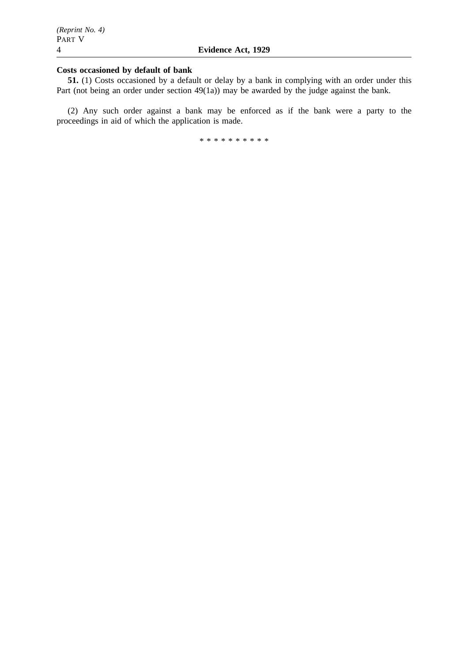## **Costs occasioned by default of bank**

**51.** (1) Costs occasioned by a default or delay by a bank in complying with an order under this Part (not being an order under section 49(1a)) may be awarded by the judge against the bank.

(2) Any such order against a bank may be enforced as if the bank were a party to the proceedings in aid of which the application is made.

\*\*\*\*\*\*\*\*\*\*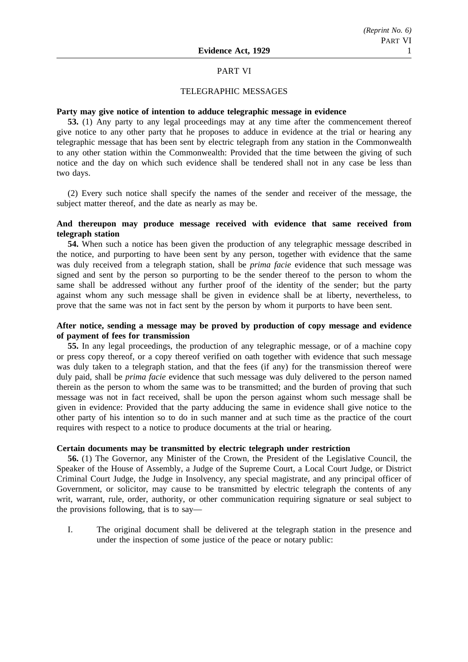### PART VI

### TELEGRAPHIC MESSAGES

### **Party may give notice of intention to adduce telegraphic message in evidence**

**53.** (1) Any party to any legal proceedings may at any time after the commencement thereof give notice to any other party that he proposes to adduce in evidence at the trial or hearing any telegraphic message that has been sent by electric telegraph from any station in the Commonwealth to any other station within the Commonwealth: Provided that the time between the giving of such notice and the day on which such evidence shall be tendered shall not in any case be less than two days.

(2) Every such notice shall specify the names of the sender and receiver of the message, the subject matter thereof, and the date as nearly as may be.

## **And thereupon may produce message received with evidence that same received from telegraph station**

**54.** When such a notice has been given the production of any telegraphic message described in the notice, and purporting to have been sent by any person, together with evidence that the same was duly received from a telegraph station, shall be *prima facie* evidence that such message was signed and sent by the person so purporting to be the sender thereof to the person to whom the same shall be addressed without any further proof of the identity of the sender; but the party against whom any such message shall be given in evidence shall be at liberty, nevertheless, to prove that the same was not in fact sent by the person by whom it purports to have been sent.

## **After notice, sending a message may be proved by production of copy message and evidence of payment of fees for transmission**

**55.** In any legal proceedings, the production of any telegraphic message, or of a machine copy or press copy thereof, or a copy thereof verified on oath together with evidence that such message was duly taken to a telegraph station, and that the fees (if any) for the transmission thereof were duly paid, shall be *prima facie* evidence that such message was duly delivered to the person named therein as the person to whom the same was to be transmitted; and the burden of proving that such message was not in fact received, shall be upon the person against whom such message shall be given in evidence: Provided that the party adducing the same in evidence shall give notice to the other party of his intention so to do in such manner and at such time as the practice of the court requires with respect to a notice to produce documents at the trial or hearing.

### **Certain documents may be transmitted by electric telegraph under restriction**

**56.** (1) The Governor, any Minister of the Crown, the President of the Legislative Council, the Speaker of the House of Assembly, a Judge of the Supreme Court, a Local Court Judge, or District Criminal Court Judge, the Judge in Insolvency, any special magistrate, and any principal officer of Government, or solicitor, may cause to be transmitted by electric telegraph the contents of any writ, warrant, rule, order, authority, or other communication requiring signature or seal subject to the provisions following, that is to say—

I. The original document shall be delivered at the telegraph station in the presence and under the inspection of some justice of the peace or notary public: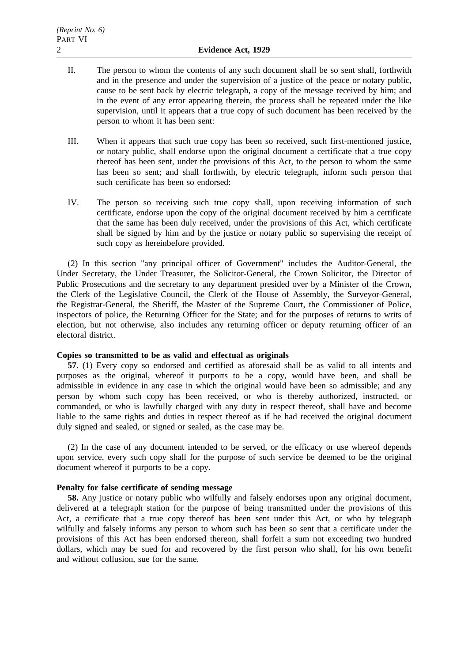- II. The person to whom the contents of any such document shall be so sent shall, forthwith and in the presence and under the supervision of a justice of the peace or notary public, cause to be sent back by electric telegraph, a copy of the message received by him; and in the event of any error appearing therein, the process shall be repeated under the like supervision, until it appears that a true copy of such document has been received by the person to whom it has been sent:
- III. When it appears that such true copy has been so received, such first-mentioned justice, or notary public, shall endorse upon the original document a certificate that a true copy thereof has been sent, under the provisions of this Act, to the person to whom the same has been so sent; and shall forthwith, by electric telegraph, inform such person that such certificate has been so endorsed:
- IV. The person so receiving such true copy shall, upon receiving information of such certificate, endorse upon the copy of the original document received by him a certificate that the same has been duly received, under the provisions of this Act, which certificate shall be signed by him and by the justice or notary public so supervising the receipt of such copy as hereinbefore provided.

(2) In this section "any principal officer of Government" includes the Auditor-General, the Under Secretary, the Under Treasurer, the Solicitor-General, the Crown Solicitor, the Director of Public Prosecutions and the secretary to any department presided over by a Minister of the Crown, the Clerk of the Legislative Council, the Clerk of the House of Assembly, the Surveyor-General, the Registrar-General, the Sheriff, the Master of the Supreme Court, the Commissioner of Police, inspectors of police, the Returning Officer for the State; and for the purposes of returns to writs of election, but not otherwise, also includes any returning officer or deputy returning officer of an electoral district.

### **Copies so transmitted to be as valid and effectual as originals**

**57.** (1) Every copy so endorsed and certified as aforesaid shall be as valid to all intents and purposes as the original, whereof it purports to be a copy, would have been, and shall be admissible in evidence in any case in which the original would have been so admissible; and any person by whom such copy has been received, or who is thereby authorized, instructed, or commanded, or who is lawfully charged with any duty in respect thereof, shall have and become liable to the same rights and duties in respect thereof as if he had received the original document duly signed and sealed, or signed or sealed, as the case may be.

(2) In the case of any document intended to be served, or the efficacy or use whereof depends upon service, every such copy shall for the purpose of such service be deemed to be the original document whereof it purports to be a copy.

## **Penalty for false certificate of sending message**

**58.** Any justice or notary public who wilfully and falsely endorses upon any original document, delivered at a telegraph station for the purpose of being transmitted under the provisions of this Act, a certificate that a true copy thereof has been sent under this Act, or who by telegraph wilfully and falsely informs any person to whom such has been so sent that a certificate under the provisions of this Act has been endorsed thereon, shall forfeit a sum not exceeding two hundred dollars, which may be sued for and recovered by the first person who shall, for his own benefit and without collusion, sue for the same.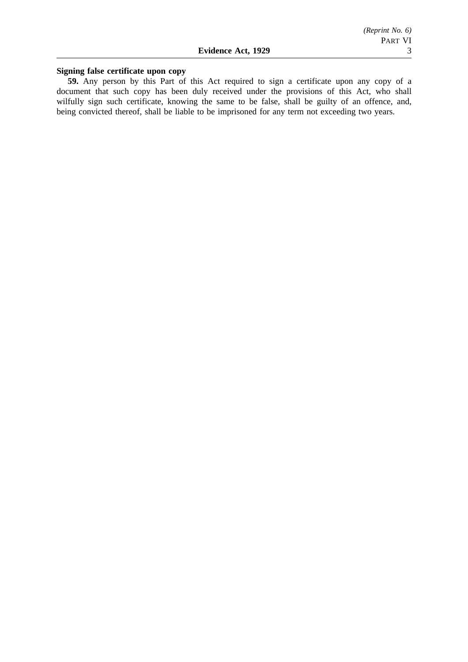## **Signing false certificate upon copy**

**59.** Any person by this Part of this Act required to sign a certificate upon any copy of a document that such copy has been duly received under the provisions of this Act, who shall wilfully sign such certificate, knowing the same to be false, shall be guilty of an offence, and, being convicted thereof, shall be liable to be imprisoned for any term not exceeding two years.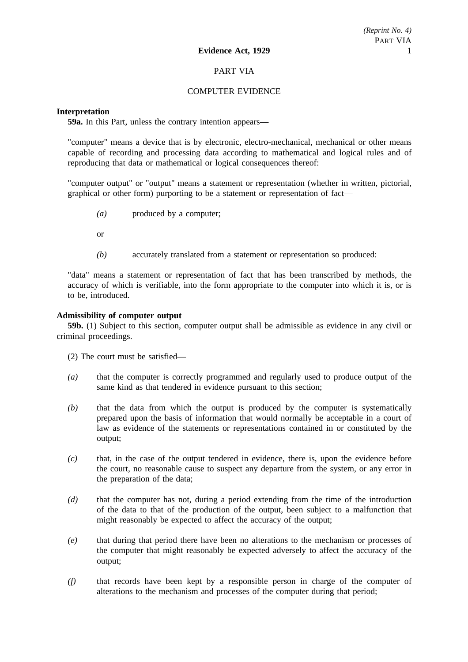## PART VIA

## COMPUTER EVIDENCE

## **Interpretation**

**59a.** In this Part, unless the contrary intention appears—

"computer" means a device that is by electronic, electro-mechanical, mechanical or other means capable of recording and processing data according to mathematical and logical rules and of reproducing that data or mathematical or logical consequences thereof:

"computer output" or "output" means a statement or representation (whether in written, pictorial, graphical or other form) purporting to be a statement or representation of fact—

*(a)* produced by a computer;

or

*(b)* accurately translated from a statement or representation so produced:

"data" means a statement or representation of fact that has been transcribed by methods, the accuracy of which is verifiable, into the form appropriate to the computer into which it is, or is to be, introduced.

### **Admissibility of computer output**

**59b.** (1) Subject to this section, computer output shall be admissible as evidence in any civil or criminal proceedings.

(2) The court must be satisfied—

- *(a)* that the computer is correctly programmed and regularly used to produce output of the same kind as that tendered in evidence pursuant to this section;
- *(b)* that the data from which the output is produced by the computer is systematically prepared upon the basis of information that would normally be acceptable in a court of law as evidence of the statements or representations contained in or constituted by the output;
- *(c)* that, in the case of the output tendered in evidence, there is, upon the evidence before the court, no reasonable cause to suspect any departure from the system, or any error in the preparation of the data;
- *(d)* that the computer has not, during a period extending from the time of the introduction of the data to that of the production of the output, been subject to a malfunction that might reasonably be expected to affect the accuracy of the output;
- *(e)* that during that period there have been no alterations to the mechanism or processes of the computer that might reasonably be expected adversely to affect the accuracy of the output;
- *(f)* that records have been kept by a responsible person in charge of the computer of alterations to the mechanism and processes of the computer during that period;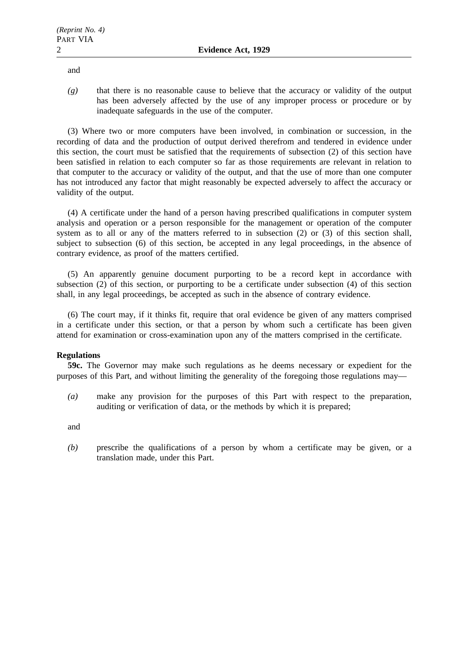and

*(g)* that there is no reasonable cause to believe that the accuracy or validity of the output has been adversely affected by the use of any improper process or procedure or by inadequate safeguards in the use of the computer.

(3) Where two or more computers have been involved, in combination or succession, in the recording of data and the production of output derived therefrom and tendered in evidence under this section, the court must be satisfied that the requirements of subsection (2) of this section have been satisfied in relation to each computer so far as those requirements are relevant in relation to that computer to the accuracy or validity of the output, and that the use of more than one computer has not introduced any factor that might reasonably be expected adversely to affect the accuracy or validity of the output.

(4) A certificate under the hand of a person having prescribed qualifications in computer system analysis and operation or a person responsible for the management or operation of the computer system as to all or any of the matters referred to in subsection (2) or (3) of this section shall, subject to subsection (6) of this section, be accepted in any legal proceedings, in the absence of contrary evidence, as proof of the matters certified.

(5) An apparently genuine document purporting to be a record kept in accordance with subsection (2) of this section, or purporting to be a certificate under subsection (4) of this section shall, in any legal proceedings, be accepted as such in the absence of contrary evidence.

(6) The court may, if it thinks fit, require that oral evidence be given of any matters comprised in a certificate under this section, or that a person by whom such a certificate has been given attend for examination or cross-examination upon any of the matters comprised in the certificate.

## **Regulations**

**59c.** The Governor may make such regulations as he deems necessary or expedient for the purposes of this Part, and without limiting the generality of the foregoing those regulations may—

*(a)* make any provision for the purposes of this Part with respect to the preparation, auditing or verification of data, or the methods by which it is prepared;

and

*(b)* prescribe the qualifications of a person by whom a certificate may be given, or a translation made, under this Part.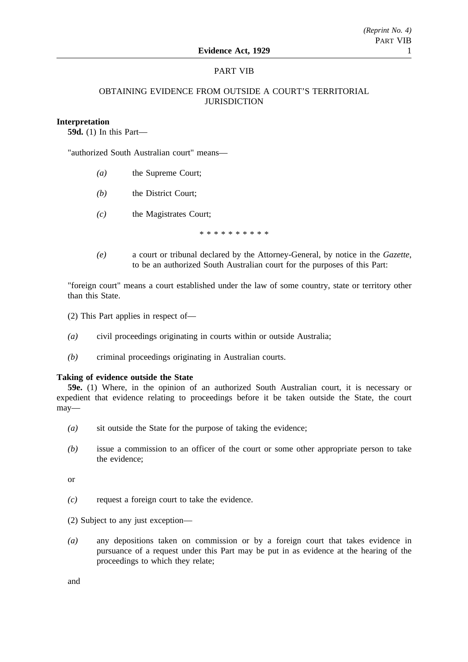## PART VIB

## OBTAINING EVIDENCE FROM OUTSIDE A COURT'S TERRITORIAL **JURISDICTION**

### **Interpretation**

**59d.** (1) In this Part—

"authorized South Australian court" means—

- *(a)* the Supreme Court;
- *(b)* the District Court;
- *(c)* the Magistrates Court;

\*\*\*\*\*\*\*\*\*\*

*(e)* a court or tribunal declared by the Attorney-General, by notice in the *Gazette*, to be an authorized South Australian court for the purposes of this Part:

"foreign court" means a court established under the law of some country, state or territory other than this State.

(2) This Part applies in respect of—

- *(a)* civil proceedings originating in courts within or outside Australia;
- *(b)* criminal proceedings originating in Australian courts.

#### **Taking of evidence outside the State**

**59e.** (1) Where, in the opinion of an authorized South Australian court, it is necessary or expedient that evidence relating to proceedings before it be taken outside the State, the court may—

- *(a)* sit outside the State for the purpose of taking the evidence;
- *(b)* issue a commission to an officer of the court or some other appropriate person to take the evidence;

or

*(c)* request a foreign court to take the evidence.

(2) Subject to any just exception—

*(a)* any depositions taken on commission or by a foreign court that takes evidence in pursuance of a request under this Part may be put in as evidence at the hearing of the proceedings to which they relate;

and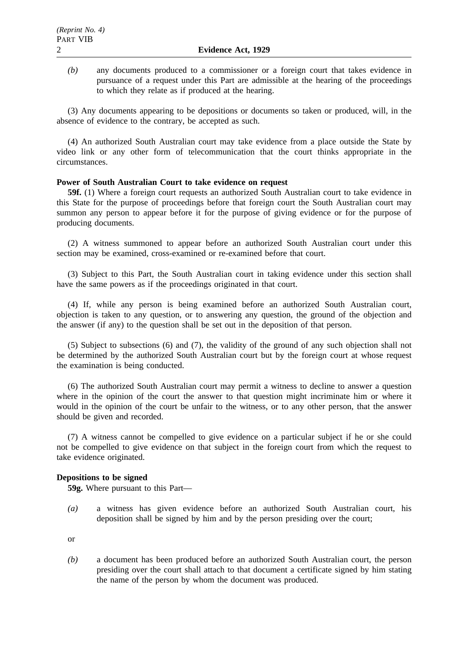*(b)* any documents produced to a commissioner or a foreign court that takes evidence in pursuance of a request under this Part are admissible at the hearing of the proceedings to which they relate as if produced at the hearing.

(3) Any documents appearing to be depositions or documents so taken or produced, will, in the absence of evidence to the contrary, be accepted as such.

(4) An authorized South Australian court may take evidence from a place outside the State by video link or any other form of telecommunication that the court thinks appropriate in the circumstances.

### **Power of South Australian Court to take evidence on request**

**59f.** (1) Where a foreign court requests an authorized South Australian court to take evidence in this State for the purpose of proceedings before that foreign court the South Australian court may summon any person to appear before it for the purpose of giving evidence or for the purpose of producing documents.

(2) A witness summoned to appear before an authorized South Australian court under this section may be examined, cross-examined or re-examined before that court.

(3) Subject to this Part, the South Australian court in taking evidence under this section shall have the same powers as if the proceedings originated in that court.

(4) If, while any person is being examined before an authorized South Australian court, objection is taken to any question, or to answering any question, the ground of the objection and the answer (if any) to the question shall be set out in the deposition of that person.

(5) Subject to subsections (6) and (7), the validity of the ground of any such objection shall not be determined by the authorized South Australian court but by the foreign court at whose request the examination is being conducted.

(6) The authorized South Australian court may permit a witness to decline to answer a question where in the opinion of the court the answer to that question might incriminate him or where it would in the opinion of the court be unfair to the witness, or to any other person, that the answer should be given and recorded.

(7) A witness cannot be compelled to give evidence on a particular subject if he or she could not be compelled to give evidence on that subject in the foreign court from which the request to take evidence originated.

### **Depositions to be signed**

**59g.** Where pursuant to this Part—

*(a)* a witness has given evidence before an authorized South Australian court, his deposition shall be signed by him and by the person presiding over the court;

or

*(b)* a document has been produced before an authorized South Australian court, the person presiding over the court shall attach to that document a certificate signed by him stating the name of the person by whom the document was produced.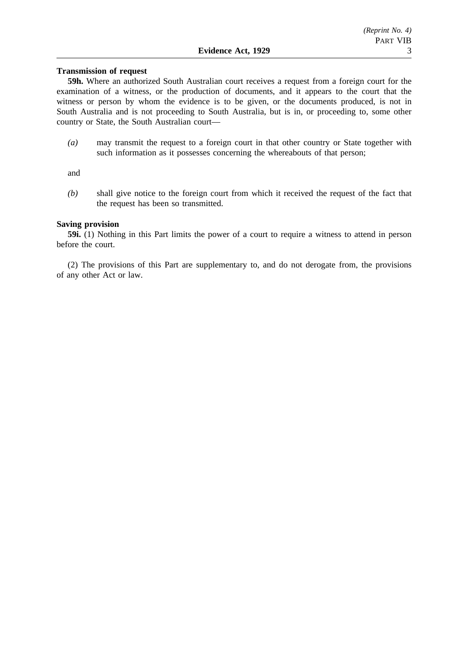### **Transmission of request**

**59h.** Where an authorized South Australian court receives a request from a foreign court for the examination of a witness, or the production of documents, and it appears to the court that the witness or person by whom the evidence is to be given, or the documents produced, is not in South Australia and is not proceeding to South Australia, but is in, or proceeding to, some other country or State, the South Australian court—

*(a)* may transmit the request to a foreign court in that other country or State together with such information as it possesses concerning the whereabouts of that person;

and

*(b)* shall give notice to the foreign court from which it received the request of the fact that the request has been so transmitted.

## **Saving provision**

**59i.** (1) Nothing in this Part limits the power of a court to require a witness to attend in person before the court.

(2) The provisions of this Part are supplementary to, and do not derogate from, the provisions of any other Act or law.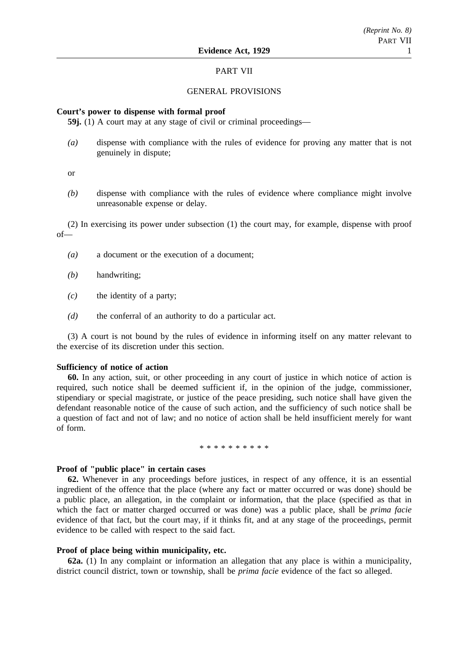### PART VII

### GENERAL PROVISIONS

## **Court's power to dispense with formal proof**

**59j.** (1) A court may at any stage of civil or criminal proceedings—

*(a)* dispense with compliance with the rules of evidence for proving any matter that is not genuinely in dispute;

or

*(b)* dispense with compliance with the rules of evidence where compliance might involve unreasonable expense or delay.

(2) In exercising its power under subsection (1) the court may, for example, dispense with proof of—

- *(a)* a document or the execution of a document;
- *(b)* handwriting;
- *(c)* the identity of a party;
- *(d)* the conferral of an authority to do a particular act.

(3) A court is not bound by the rules of evidence in informing itself on any matter relevant to the exercise of its discretion under this section.

### **Sufficiency of notice of action**

**60.** In any action, suit, or other proceeding in any court of justice in which notice of action is required, such notice shall be deemed sufficient if, in the opinion of the judge, commissioner, stipendiary or special magistrate, or justice of the peace presiding, such notice shall have given the defendant reasonable notice of the cause of such action, and the sufficiency of such notice shall be a question of fact and not of law; and no notice of action shall be held insufficient merely for want of form.

\*\*\*\*\*\*\*\*\*\*

### **Proof of "public place" in certain cases**

**62.** Whenever in any proceedings before justices, in respect of any offence, it is an essential ingredient of the offence that the place (where any fact or matter occurred or was done) should be a public place, an allegation, in the complaint or information, that the place (specified as that in which the fact or matter charged occurred or was done) was a public place, shall be *prima facie* evidence of that fact, but the court may, if it thinks fit, and at any stage of the proceedings, permit evidence to be called with respect to the said fact.

### **Proof of place being within municipality, etc.**

**62a.** (1) In any complaint or information an allegation that any place is within a municipality, district council district, town or township, shall be *prima facie* evidence of the fact so alleged.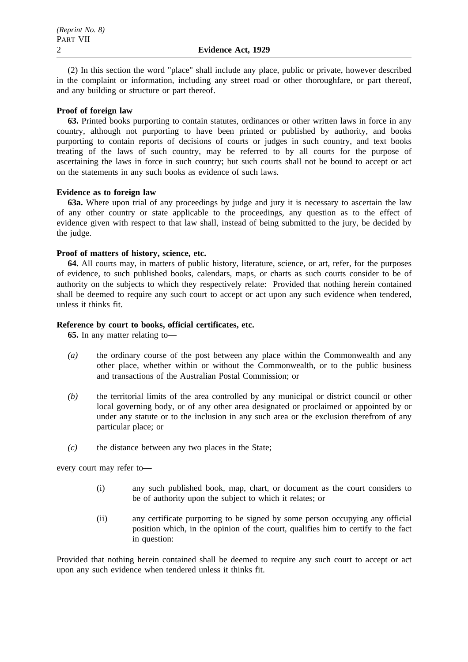(2) In this section the word "place" shall include any place, public or private, however described in the complaint or information, including any street road or other thoroughfare, or part thereof, and any building or structure or part thereof.

## **Proof of foreign law**

**63.** Printed books purporting to contain statutes, ordinances or other written laws in force in any country, although not purporting to have been printed or published by authority, and books purporting to contain reports of decisions of courts or judges in such country, and text books treating of the laws of such country, may be referred to by all courts for the purpose of ascertaining the laws in force in such country; but such courts shall not be bound to accept or act on the statements in any such books as evidence of such laws.

## **Evidence as to foreign law**

**63a.** Where upon trial of any proceedings by judge and jury it is necessary to ascertain the law of any other country or state applicable to the proceedings, any question as to the effect of evidence given with respect to that law shall, instead of being submitted to the jury, be decided by the judge.

## **Proof of matters of history, science, etc.**

**64.** All courts may, in matters of public history, literature, science, or art, refer, for the purposes of evidence, to such published books, calendars, maps, or charts as such courts consider to be of authority on the subjects to which they respectively relate: Provided that nothing herein contained shall be deemed to require any such court to accept or act upon any such evidence when tendered, unless it thinks fit.

## **Reference by court to books, official certificates, etc.**

**65.** In any matter relating to—

- *(a)* the ordinary course of the post between any place within the Commonwealth and any other place, whether within or without the Commonwealth, or to the public business and transactions of the Australian Postal Commission; or
- *(b)* the territorial limits of the area controlled by any municipal or district council or other local governing body, or of any other area designated or proclaimed or appointed by or under any statute or to the inclusion in any such area or the exclusion therefrom of any particular place; or
- *(c)* the distance between any two places in the State;

every court may refer to—

- (i) any such published book, map, chart, or document as the court considers to be of authority upon the subject to which it relates; or
- (ii) any certificate purporting to be signed by some person occupying any official position which, in the opinion of the court, qualifies him to certify to the fact in question:

Provided that nothing herein contained shall be deemed to require any such court to accept or act upon any such evidence when tendered unless it thinks fit.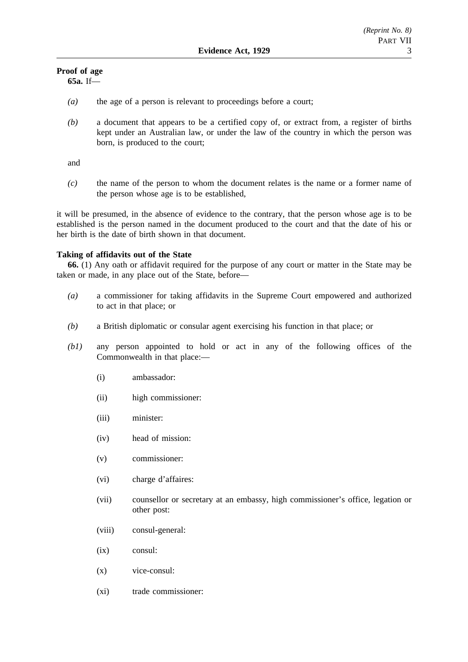## **Proof of age**

**65a.** If—

- *(a)* the age of a person is relevant to proceedings before a court;
- *(b)* a document that appears to be a certified copy of, or extract from, a register of births kept under an Australian law, or under the law of the country in which the person was born, is produced to the court;

and

*(c)* the name of the person to whom the document relates is the name or a former name of the person whose age is to be established,

it will be presumed, in the absence of evidence to the contrary, that the person whose age is to be established is the person named in the document produced to the court and that the date of his or her birth is the date of birth shown in that document.

## **Taking of affidavits out of the State**

**66.** (1) Any oath or affidavit required for the purpose of any court or matter in the State may be taken or made, in any place out of the State, before—

- *(a)* a commissioner for taking affidavits in the Supreme Court empowered and authorized to act in that place; or
- *(b)* a British diplomatic or consular agent exercising his function in that place; or
- *(b1)* any person appointed to hold or act in any of the following offices of the Commonwealth in that place:—
	- (i) ambassador:
	- (ii) high commissioner:
	- (iii) minister:
	- (iv) head of mission:
	- (v) commissioner:
	- (vi) charge d'affaires:
	- (vii) counsellor or secretary at an embassy, high commissioner's office, legation or other post:
	- (viii) consul-general:
	- (ix) consul:
	- (x) vice-consul:
	- (xi) trade commissioner: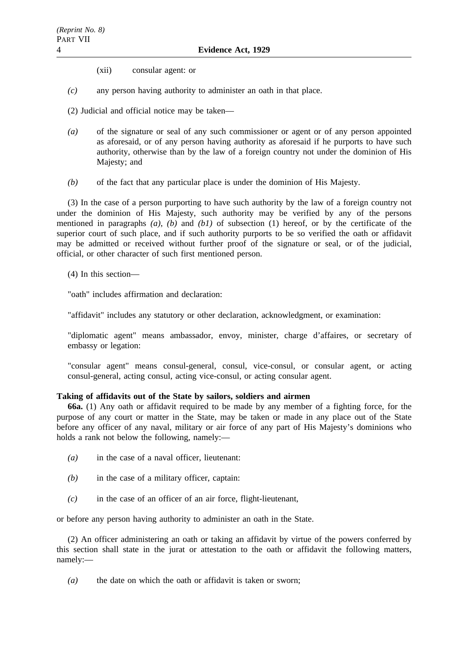(xii) consular agent: or

*(c)* any person having authority to administer an oath in that place.

(2) Judicial and official notice may be taken—

- *(a)* of the signature or seal of any such commissioner or agent or of any person appointed as aforesaid, or of any person having authority as aforesaid if he purports to have such authority, otherwise than by the law of a foreign country not under the dominion of His Majesty; and
- *(b)* of the fact that any particular place is under the dominion of His Majesty.

(3) In the case of a person purporting to have such authority by the law of a foreign country not under the dominion of His Majesty, such authority may be verified by any of the persons mentioned in paragraphs *(a)*, *(b)* and *(b1)* of subsection (1) hereof, or by the certificate of the superior court of such place, and if such authority purports to be so verified the oath or affidavit may be admitted or received without further proof of the signature or seal, or of the judicial, official, or other character of such first mentioned person.

(4) In this section—

"oath" includes affirmation and declaration:

"affidavit" includes any statutory or other declaration, acknowledgment, or examination:

"diplomatic agent" means ambassador, envoy, minister, charge d'affaires, or secretary of embassy or legation:

"consular agent" means consul-general, consul, vice-consul, or consular agent, or acting consul-general, acting consul, acting vice-consul, or acting consular agent.

## **Taking of affidavits out of the State by sailors, soldiers and airmen**

**66a.** (1) Any oath or affidavit required to be made by any member of a fighting force, for the purpose of any court or matter in the State, may be taken or made in any place out of the State before any officer of any naval, military or air force of any part of His Majesty's dominions who holds a rank not below the following, namely:—

- *(a)* in the case of a naval officer, lieutenant:
- *(b)* in the case of a military officer, captain:
- *(c)* in the case of an officer of an air force, flight-lieutenant,

or before any person having authority to administer an oath in the State.

(2) An officer administering an oath or taking an affidavit by virtue of the powers conferred by this section shall state in the jurat or attestation to the oath or affidavit the following matters, namely:—

*(a)* the date on which the oath or affidavit is taken or sworn;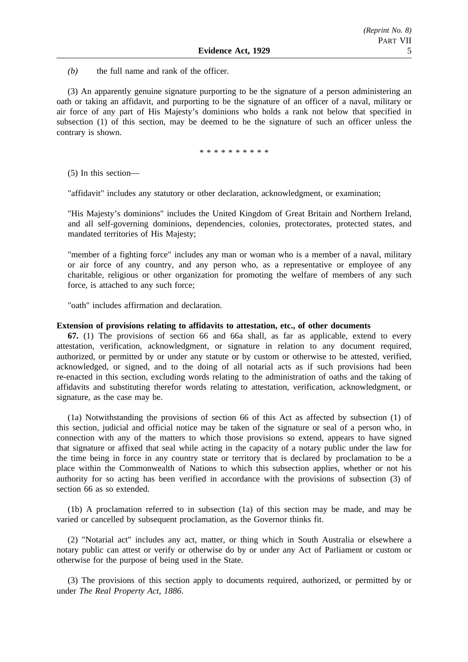*(b)* the full name and rank of the officer.

(3) An apparently genuine signature purporting to be the signature of a person administering an oath or taking an affidavit, and purporting to be the signature of an officer of a naval, military or air force of any part of His Majesty's dominions who holds a rank not below that specified in subsection (1) of this section, may be deemed to be the signature of such an officer unless the contrary is shown.

\*\*\*\*\*\*\*\*\*\*

(5) In this section—

"affidavit" includes any statutory or other declaration, acknowledgment, or examination;

"His Majesty's dominions" includes the United Kingdom of Great Britain and Northern Ireland, and all self-governing dominions, dependencies, colonies, protectorates, protected states, and mandated territories of His Majesty;

"member of a fighting force" includes any man or woman who is a member of a naval, military or air force of any country, and any person who, as a representative or employee of any charitable, religious or other organization for promoting the welfare of members of any such force, is attached to any such force;

"oath" includes affirmation and declaration.

#### **Extension of provisions relating to affidavits to attestation, etc., of other documents**

**67.** (1) The provisions of section 66 and 66a shall, as far as applicable, extend to every attestation, verification, acknowledgment, or signature in relation to any document required, authorized, or permitted by or under any statute or by custom or otherwise to be attested, verified, acknowledged, or signed, and to the doing of all notarial acts as if such provisions had been re-enacted in this section, excluding words relating to the administration of oaths and the taking of affidavits and substituting therefor words relating to attestation, verification, acknowledgment, or signature, as the case may be.

(1a) Notwithstanding the provisions of section 66 of this Act as affected by subsection (1) of this section, judicial and official notice may be taken of the signature or seal of a person who, in connection with any of the matters to which those provisions so extend, appears to have signed that signature or affixed that seal while acting in the capacity of a notary public under the law for the time being in force in any country state or territory that is declared by proclamation to be a place within the Commonwealth of Nations to which this subsection applies, whether or not his authority for so acting has been verified in accordance with the provisions of subsection (3) of section 66 as so extended.

(1b) A proclamation referred to in subsection (1a) of this section may be made, and may be varied or cancelled by subsequent proclamation, as the Governor thinks fit.

(2) "Notarial act" includes any act, matter, or thing which in South Australia or elsewhere a notary public can attest or verify or otherwise do by or under any Act of Parliament or custom or otherwise for the purpose of being used in the State.

(3) The provisions of this section apply to documents required, authorized, or permitted by or under *The Real Property Act, 1886*.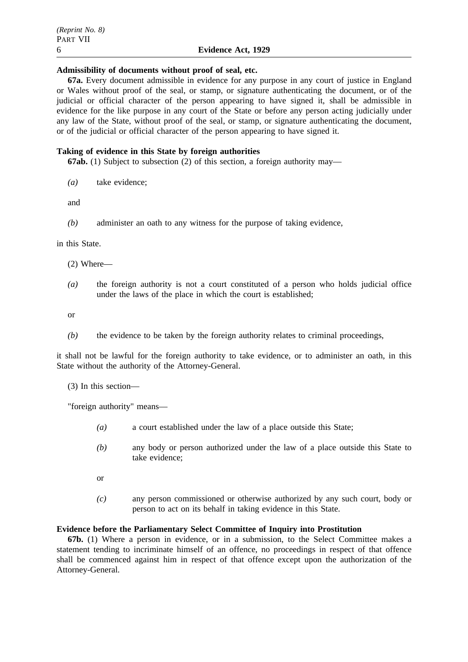### **Admissibility of documents without proof of seal, etc.**

**67a.** Every document admissible in evidence for any purpose in any court of justice in England or Wales without proof of the seal, or stamp, or signature authenticating the document, or of the judicial or official character of the person appearing to have signed it, shall be admissible in evidence for the like purpose in any court of the State or before any person acting judicially under any law of the State, without proof of the seal, or stamp, or signature authenticating the document, or of the judicial or official character of the person appearing to have signed it.

## **Taking of evidence in this State by foreign authorities**

**67ab.** (1) Subject to subsection (2) of this section, a foreign authority may—

*(a)* take evidence;

and

*(b)* administer an oath to any witness for the purpose of taking evidence,

in this State.

(2) Where—

*(a)* the foreign authority is not a court constituted of a person who holds judicial office under the laws of the place in which the court is established;

or

*(b)* the evidence to be taken by the foreign authority relates to criminal proceedings,

it shall not be lawful for the foreign authority to take evidence, or to administer an oath, in this State without the authority of the Attorney-General.

(3) In this section—

"foreign authority" means—

- *(a)* a court established under the law of a place outside this State;
- *(b)* any body or person authorized under the law of a place outside this State to take evidence;
- or
- *(c)* any person commissioned or otherwise authorized by any such court, body or person to act on its behalf in taking evidence in this State.

## **Evidence before the Parliamentary Select Committee of Inquiry into Prostitution**

**67b.** (1) Where a person in evidence, or in a submission, to the Select Committee makes a statement tending to incriminate himself of an offence, no proceedings in respect of that offence shall be commenced against him in respect of that offence except upon the authorization of the Attorney-General.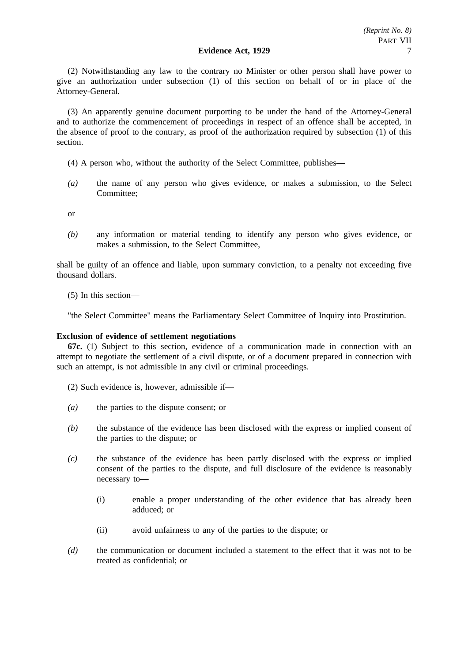(2) Notwithstanding any law to the contrary no Minister or other person shall have power to give an authorization under subsection (1) of this section on behalf of or in place of the Attorney-General.

(3) An apparently genuine document purporting to be under the hand of the Attorney-General and to authorize the commencement of proceedings in respect of an offence shall be accepted, in the absence of proof to the contrary, as proof of the authorization required by subsection (1) of this section.

- (4) A person who, without the authority of the Select Committee, publishes—
- *(a)* the name of any person who gives evidence, or makes a submission, to the Select Committee;

or

*(b)* any information or material tending to identify any person who gives evidence, or makes a submission, to the Select Committee,

shall be guilty of an offence and liable, upon summary conviction, to a penalty not exceeding five thousand dollars.

(5) In this section—

"the Select Committee" means the Parliamentary Select Committee of Inquiry into Prostitution.

### **Exclusion of evidence of settlement negotiations**

**67c.** (1) Subject to this section, evidence of a communication made in connection with an attempt to negotiate the settlement of a civil dispute, or of a document prepared in connection with such an attempt, is not admissible in any civil or criminal proceedings.

- (2) Such evidence is, however, admissible if—
- *(a)* the parties to the dispute consent; or
- *(b)* the substance of the evidence has been disclosed with the express or implied consent of the parties to the dispute; or
- *(c)* the substance of the evidence has been partly disclosed with the express or implied consent of the parties to the dispute, and full disclosure of the evidence is reasonably necessary to—
	- (i) enable a proper understanding of the other evidence that has already been adduced; or
	- (ii) avoid unfairness to any of the parties to the dispute; or
- *(d)* the communication or document included a statement to the effect that it was not to be treated as confidential; or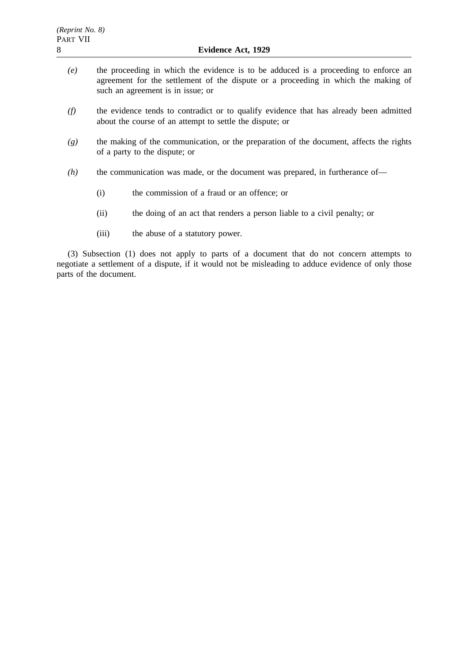- *(e)* the proceeding in which the evidence is to be adduced is a proceeding to enforce an agreement for the settlement of the dispute or a proceeding in which the making of such an agreement is in issue; or
- *(f)* the evidence tends to contradict or to qualify evidence that has already been admitted about the course of an attempt to settle the dispute; or
- *(g)* the making of the communication, or the preparation of the document, affects the rights of a party to the dispute; or
- *(h)* the communication was made, or the document was prepared, in furtherance of—
	- (i) the commission of a fraud or an offence; or
	- (ii) the doing of an act that renders a person liable to a civil penalty; or
	- (iii) the abuse of a statutory power.

(3) Subsection (1) does not apply to parts of a document that do not concern attempts to negotiate a settlement of a dispute, if it would not be misleading to adduce evidence of only those parts of the document.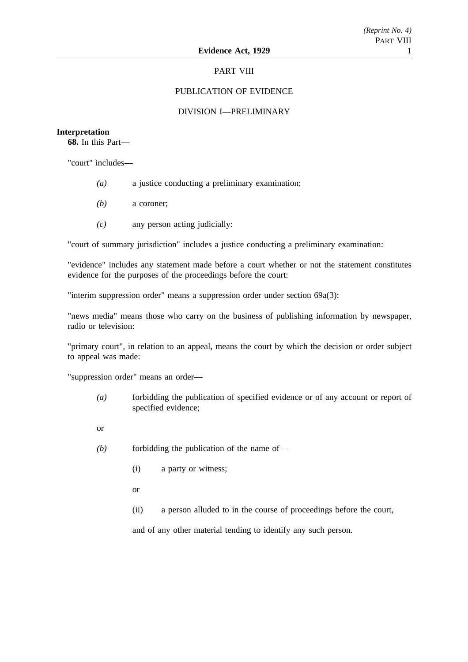## PART VIII

## PUBLICATION OF EVIDENCE

## DIVISION I—PRELIMINARY

### **Interpretation**

**68.** In this Part—

"court" includes—

- *(a)* a justice conducting a preliminary examination;
- *(b)* a coroner;
- *(c)* any person acting judicially:

"court of summary jurisdiction" includes a justice conducting a preliminary examination:

"evidence" includes any statement made before a court whether or not the statement constitutes evidence for the purposes of the proceedings before the court:

"interim suppression order" means a suppression order under section 69a(3):

"news media" means those who carry on the business of publishing information by newspaper, radio or television:

"primary court", in relation to an appeal, means the court by which the decision or order subject to appeal was made:

"suppression order" means an order—

- *(a)* forbidding the publication of specified evidence or of any account or report of specified evidence;
- or
- *(b)* forbidding the publication of the name of—
	- (i) a party or witness;
	- or
	- (ii) a person alluded to in the course of proceedings before the court,

and of any other material tending to identify any such person.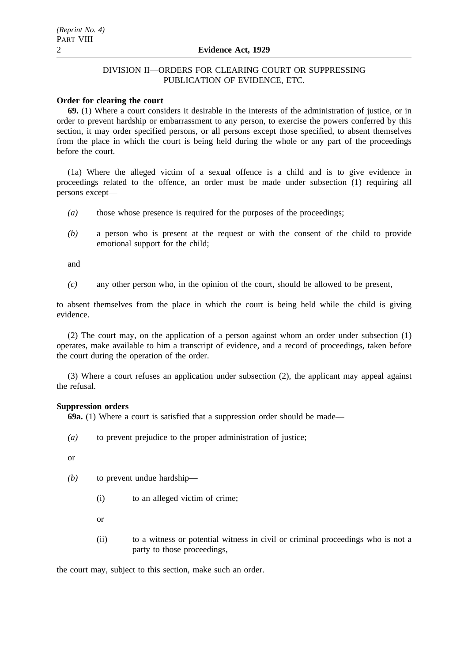## DIVISION II—ORDERS FOR CLEARING COURT OR SUPPRESSING PUBLICATION OF EVIDENCE, ETC.

## **Order for clearing the court**

**69.** (1) Where a court considers it desirable in the interests of the administration of justice, or in order to prevent hardship or embarrassment to any person, to exercise the powers conferred by this section, it may order specified persons, or all persons except those specified, to absent themselves from the place in which the court is being held during the whole or any part of the proceedings before the court.

(1a) Where the alleged victim of a sexual offence is a child and is to give evidence in proceedings related to the offence, an order must be made under subsection (1) requiring all persons except—

- *(a)* those whose presence is required for the purposes of the proceedings;
- *(b)* a person who is present at the request or with the consent of the child to provide emotional support for the child;

and

*(c)* any other person who, in the opinion of the court, should be allowed to be present,

to absent themselves from the place in which the court is being held while the child is giving evidence.

(2) The court may, on the application of a person against whom an order under subsection (1) operates, make available to him a transcript of evidence, and a record of proceedings, taken before the court during the operation of the order.

(3) Where a court refuses an application under subsection (2), the applicant may appeal against the refusal.

### **Suppression orders**

**69a.** (1) Where a court is satisfied that a suppression order should be made—

*(a)* to prevent prejudice to the proper administration of justice;

or

- *(b)* to prevent undue hardship—
	- (i) to an alleged victim of crime;

or

(ii) to a witness or potential witness in civil or criminal proceedings who is not a party to those proceedings,

the court may, subject to this section, make such an order.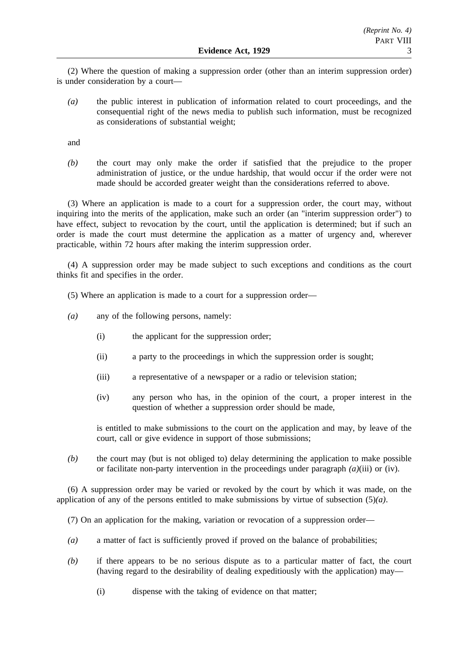(2) Where the question of making a suppression order (other than an interim suppression order) is under consideration by a court—

*(a)* the public interest in publication of information related to court proceedings, and the consequential right of the news media to publish such information, must be recognized as considerations of substantial weight;

and

*(b)* the court may only make the order if satisfied that the prejudice to the proper administration of justice, or the undue hardship, that would occur if the order were not made should be accorded greater weight than the considerations referred to above.

(3) Where an application is made to a court for a suppression order, the court may, without inquiring into the merits of the application, make such an order (an "interim suppression order") to have effect, subject to revocation by the court, until the application is determined; but if such an order is made the court must determine the application as a matter of urgency and, wherever practicable, within 72 hours after making the interim suppression order.

(4) A suppression order may be made subject to such exceptions and conditions as the court thinks fit and specifies in the order.

- (5) Where an application is made to a court for a suppression order—
- *(a)* any of the following persons, namely:
	- (i) the applicant for the suppression order;
	- (ii) a party to the proceedings in which the suppression order is sought;
	- (iii) a representative of a newspaper or a radio or television station;
	- (iv) any person who has, in the opinion of the court, a proper interest in the question of whether a suppression order should be made,

is entitled to make submissions to the court on the application and may, by leave of the court, call or give evidence in support of those submissions;

*(b)* the court may (but is not obliged to) delay determining the application to make possible or facilitate non-party intervention in the proceedings under paragraph *(a)*(iii) or (iv).

(6) A suppression order may be varied or revoked by the court by which it was made, on the application of any of the persons entitled to make submissions by virtue of subsection (5)*(a)*.

(7) On an application for the making, variation or revocation of a suppression order—

- *(a)* a matter of fact is sufficiently proved if proved on the balance of probabilities;
- *(b)* if there appears to be no serious dispute as to a particular matter of fact, the court (having regard to the desirability of dealing expeditiously with the application) may—
	- (i) dispense with the taking of evidence on that matter;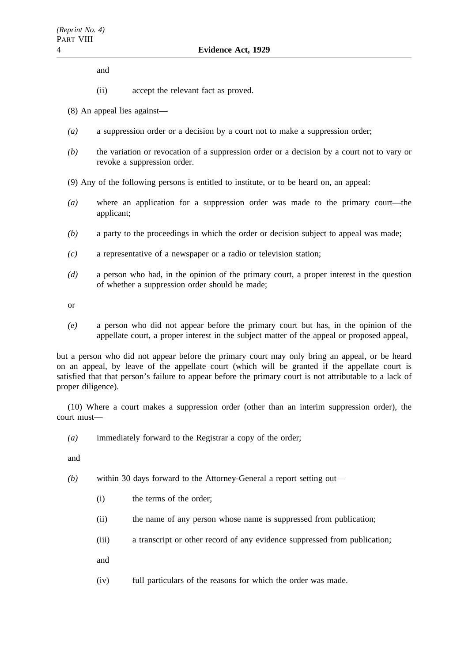and

- (ii) accept the relevant fact as proved.
- (8) An appeal lies against—
- *(a)* a suppression order or a decision by a court not to make a suppression order;
- *(b)* the variation or revocation of a suppression order or a decision by a court not to vary or revoke a suppression order.
- (9) Any of the following persons is entitled to institute, or to be heard on, an appeal:
- *(a)* where an application for a suppression order was made to the primary court—the applicant;
- *(b)* a party to the proceedings in which the order or decision subject to appeal was made;
- *(c)* a representative of a newspaper or a radio or television station;
- *(d)* a person who had, in the opinion of the primary court, a proper interest in the question of whether a suppression order should be made;

or

*(e)* a person who did not appear before the primary court but has, in the opinion of the appellate court, a proper interest in the subject matter of the appeal or proposed appeal,

but a person who did not appear before the primary court may only bring an appeal, or be heard on an appeal, by leave of the appellate court (which will be granted if the appellate court is satisfied that that person's failure to appear before the primary court is not attributable to a lack of proper diligence).

(10) Where a court makes a suppression order (other than an interim suppression order), the court must—

*(a)* immediately forward to the Registrar a copy of the order;

and

- *(b)* within 30 days forward to the Attorney-General a report setting out—
	- (i) the terms of the order;
	- (ii) the name of any person whose name is suppressed from publication;
	- (iii) a transcript or other record of any evidence suppressed from publication;
	- and
	- (iv) full particulars of the reasons for which the order was made.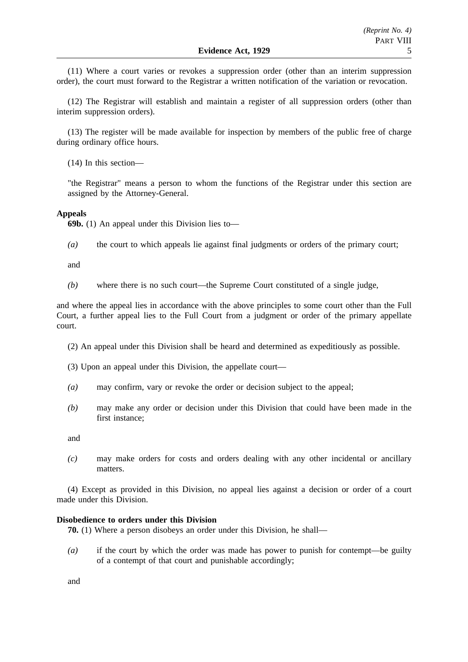(11) Where a court varies or revokes a suppression order (other than an interim suppression order), the court must forward to the Registrar a written notification of the variation or revocation.

(12) The Registrar will establish and maintain a register of all suppression orders (other than interim suppression orders).

(13) The register will be made available for inspection by members of the public free of charge during ordinary office hours.

(14) In this section—

"the Registrar" means a person to whom the functions of the Registrar under this section are assigned by the Attorney-General.

### **Appeals**

**69b.** (1) An appeal under this Division lies to—

*(a)* the court to which appeals lie against final judgments or orders of the primary court;

and

*(b)* where there is no such court—the Supreme Court constituted of a single judge,

and where the appeal lies in accordance with the above principles to some court other than the Full Court, a further appeal lies to the Full Court from a judgment or order of the primary appellate court.

- (2) An appeal under this Division shall be heard and determined as expeditiously as possible.
- (3) Upon an appeal under this Division, the appellate court—
- *(a)* may confirm, vary or revoke the order or decision subject to the appeal;
- *(b)* may make any order or decision under this Division that could have been made in the first instance;

and

*(c)* may make orders for costs and orders dealing with any other incidental or ancillary matters.

(4) Except as provided in this Division, no appeal lies against a decision or order of a court made under this Division.

## **Disobedience to orders under this Division**

**70.** (1) Where a person disobeys an order under this Division, he shall—

*(a)* if the court by which the order was made has power to punish for contempt—be guilty of a contempt of that court and punishable accordingly;

and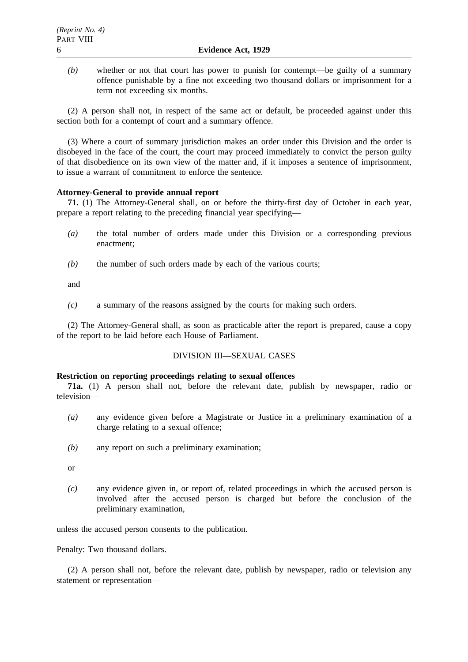*(b)* whether or not that court has power to punish for contempt—be guilty of a summary offence punishable by a fine not exceeding two thousand dollars or imprisonment for a term not exceeding six months.

(2) A person shall not, in respect of the same act or default, be proceeded against under this section both for a contempt of court and a summary offence.

(3) Where a court of summary jurisdiction makes an order under this Division and the order is disobeyed in the face of the court, the court may proceed immediately to convict the person guilty of that disobedience on its own view of the matter and, if it imposes a sentence of imprisonment, to issue a warrant of commitment to enforce the sentence.

## **Attorney-General to provide annual report**

**71.** (1) The Attorney-General shall, on or before the thirty-first day of October in each year, prepare a report relating to the preceding financial year specifying—

- *(a)* the total number of orders made under this Division or a corresponding previous enactment;
- *(b)* the number of such orders made by each of the various courts;

and

*(c)* a summary of the reasons assigned by the courts for making such orders.

(2) The Attorney-General shall, as soon as practicable after the report is prepared, cause a copy of the report to be laid before each House of Parliament.

## DIVISION III—SEXUAL CASES

## **Restriction on reporting proceedings relating to sexual offences**

**71a.** (1) A person shall not, before the relevant date, publish by newspaper, radio or television—

- *(a)* any evidence given before a Magistrate or Justice in a preliminary examination of a charge relating to a sexual offence;
- *(b)* any report on such a preliminary examination;
- or
- *(c)* any evidence given in, or report of, related proceedings in which the accused person is involved after the accused person is charged but before the conclusion of the preliminary examination,

unless the accused person consents to the publication.

Penalty: Two thousand dollars.

(2) A person shall not, before the relevant date, publish by newspaper, radio or television any statement or representation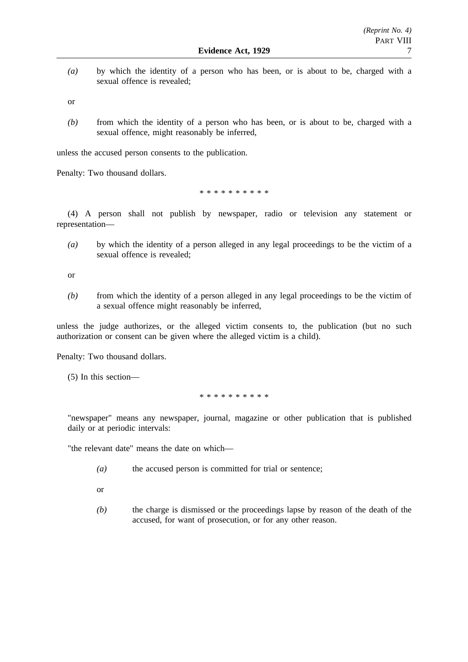*(a)* by which the identity of a person who has been, or is about to be, charged with a sexual offence is revealed;

or

*(b)* from which the identity of a person who has been, or is about to be, charged with a sexual offence, might reasonably be inferred,

unless the accused person consents to the publication.

Penalty: Two thousand dollars.

\*\*\*\*\*\*\*\*\*\*

(4) A person shall not publish by newspaper, radio or television any statement or representation—

*(a)* by which the identity of a person alleged in any legal proceedings to be the victim of a sexual offence is revealed;

or

*(b)* from which the identity of a person alleged in any legal proceedings to be the victim of a sexual offence might reasonably be inferred,

unless the judge authorizes, or the alleged victim consents to, the publication (but no such authorization or consent can be given where the alleged victim is a child).

Penalty: Two thousand dollars.

(5) In this section—

\*\*\*\*\*\*\*\*\*\*

"newspaper" means any newspaper, journal, magazine or other publication that is published daily or at periodic intervals:

"the relevant date" means the date on which—

- *(a)* the accused person is committed for trial or sentence;
- or
- *(b)* the charge is dismissed or the proceedings lapse by reason of the death of the accused, for want of prosecution, or for any other reason.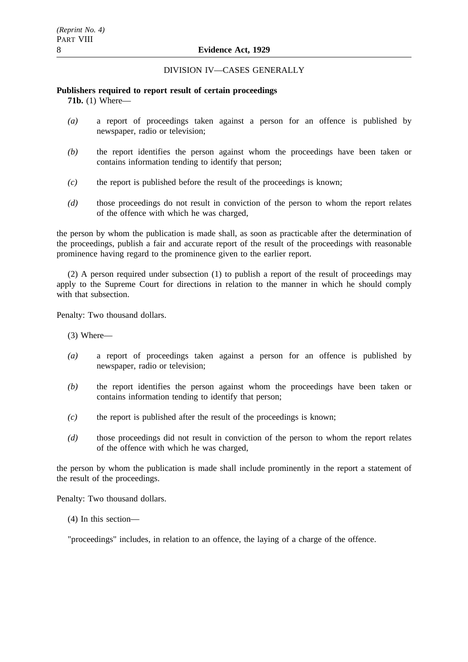## DIVISION IV—CASES GENERALLY

## **Publishers required to report result of certain proceedings**

**71b.** (1) Where—

- *(a)* a report of proceedings taken against a person for an offence is published by newspaper, radio or television;
- *(b)* the report identifies the person against whom the proceedings have been taken or contains information tending to identify that person;
- *(c)* the report is published before the result of the proceedings is known;
- *(d)* those proceedings do not result in conviction of the person to whom the report relates of the offence with which he was charged,

the person by whom the publication is made shall, as soon as practicable after the determination of the proceedings, publish a fair and accurate report of the result of the proceedings with reasonable prominence having regard to the prominence given to the earlier report.

(2) A person required under subsection (1) to publish a report of the result of proceedings may apply to the Supreme Court for directions in relation to the manner in which he should comply with that subsection.

Penalty: Two thousand dollars.

(3) Where—

- *(a)* a report of proceedings taken against a person for an offence is published by newspaper, radio or television;
- *(b)* the report identifies the person against whom the proceedings have been taken or contains information tending to identify that person;
- *(c)* the report is published after the result of the proceedings is known;
- *(d)* those proceedings did not result in conviction of the person to whom the report relates of the offence with which he was charged,

the person by whom the publication is made shall include prominently in the report a statement of the result of the proceedings.

Penalty: Two thousand dollars.

(4) In this section—

"proceedings" includes, in relation to an offence, the laying of a charge of the offence.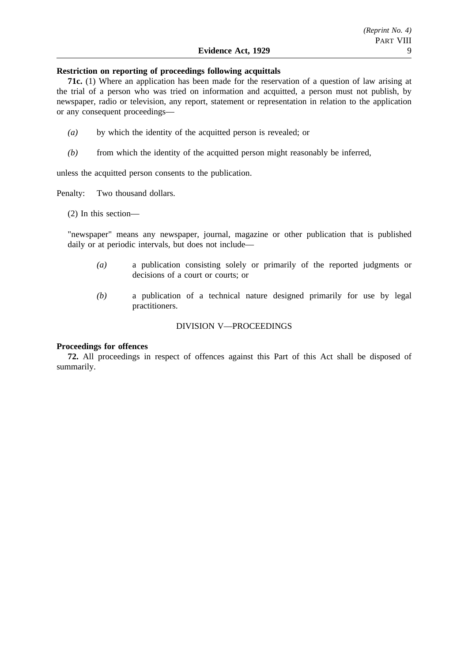## **Restriction on reporting of proceedings following acquittals**

**71c.** (1) Where an application has been made for the reservation of a question of law arising at the trial of a person who was tried on information and acquitted, a person must not publish, by newspaper, radio or television, any report, statement or representation in relation to the application or any consequent proceedings—

- *(a)* by which the identity of the acquitted person is revealed; or
- *(b)* from which the identity of the acquitted person might reasonably be inferred,

unless the acquitted person consents to the publication.

Penalty: Two thousand dollars.

(2) In this section—

"newspaper" means any newspaper, journal, magazine or other publication that is published daily or at periodic intervals, but does not include—

- *(a)* a publication consisting solely or primarily of the reported judgments or decisions of a court or courts; or
- *(b)* a publication of a technical nature designed primarily for use by legal practitioners.

### DIVISION V—PROCEEDINGS

#### **Proceedings for offences**

**72.** All proceedings in respect of offences against this Part of this Act shall be disposed of summarily.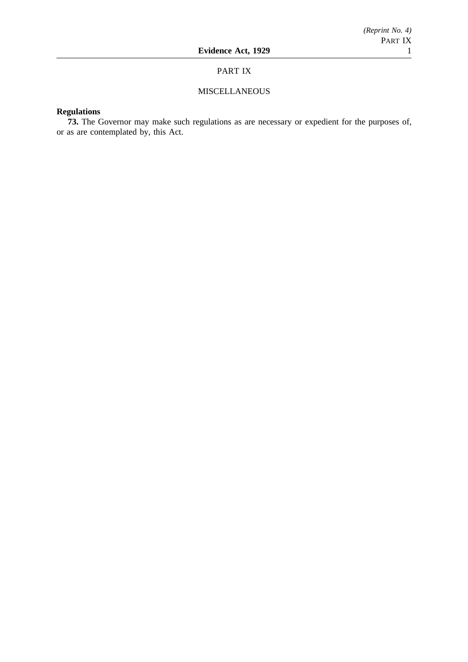## PART IX

## **MISCELLANEOUS**

## **Regulations**

**73.** The Governor may make such regulations as are necessary or expedient for the purposes of, or as are contemplated by, this Act.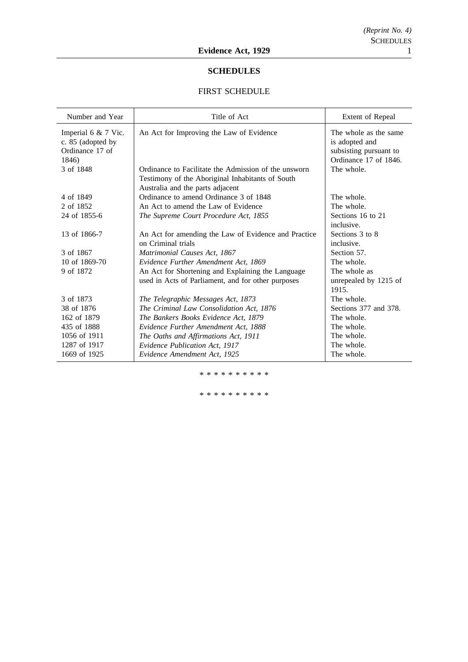## **SCHEDULES**

## FIRST SCHEDULE

| Number and Year                                                        | Title of Act                                                                                                                                 | Extent of Repeal                                                                           |
|------------------------------------------------------------------------|----------------------------------------------------------------------------------------------------------------------------------------------|--------------------------------------------------------------------------------------------|
| Imperial 6 $& 7$ Vic.<br>c. 85 (adopted by<br>Ordinance 17 of<br>1846) | An Act for Improving the Law of Evidence                                                                                                     | The whole as the same<br>is adopted and<br>subsisting pursuant to<br>Ordinance 17 of 1846. |
| 3 of 1848                                                              | Ordinance to Facilitate the Admission of the unsworn<br>Testimony of the Aboriginal Inhabitants of South<br>Australia and the parts adjacent | The whole.                                                                                 |
| 4 of 1849                                                              | Ordinance to amend Ordinance 3 of 1848                                                                                                       | The whole.                                                                                 |
| 2 of 1852                                                              | An Act to amend the Law of Evidence                                                                                                          | The whole.                                                                                 |
| 24 of 1855-6                                                           | The Supreme Court Procedure Act, 1855                                                                                                        | Sections 16 to 21<br>inclusive.                                                            |
| 13 of 1866-7                                                           | An Act for amending the Law of Evidence and Practice<br>on Criminal trials                                                                   | Sections 3 to 8<br>inclusive.                                                              |
| 3 of 1867                                                              | Matrimonial Causes Act, 1867                                                                                                                 | Section 57.                                                                                |
| 10 of 1869-70                                                          | Evidence Further Amendment Act, 1869                                                                                                         | The whole.                                                                                 |
| 9 of 1872                                                              | An Act for Shortening and Explaining the Language<br>used in Acts of Parliament, and for other purposes                                      | The whole as<br>unrepealed by 1215 of<br>1915.                                             |
| 3 of 1873                                                              | The Telegraphic Messages Act, 1873                                                                                                           | The whole.                                                                                 |
| 38 of 1876                                                             | The Criminal Law Consolidation Act, 1876                                                                                                     | Sections 377 and 378.                                                                      |
| 162 of 1879                                                            | The Bankers Books Evidence Act, 1879                                                                                                         | The whole.                                                                                 |
| 435 of 1888                                                            | Evidence Further Amendment Act, 1888                                                                                                         | The whole.                                                                                 |
| 1056 of 1911                                                           | The Oaths and Affirmations Act, 1911                                                                                                         | The whole.                                                                                 |
| 1287 of 1917                                                           | Evidence Publication Act, 1917                                                                                                               | The whole.                                                                                 |
| 1669 of 1925                                                           | Evidence Amendment Act, 1925                                                                                                                 | The whole.                                                                                 |

\*\*\*\*\*\*\*\*\*\*

\*\*\*\*\*\*\*\*\*\*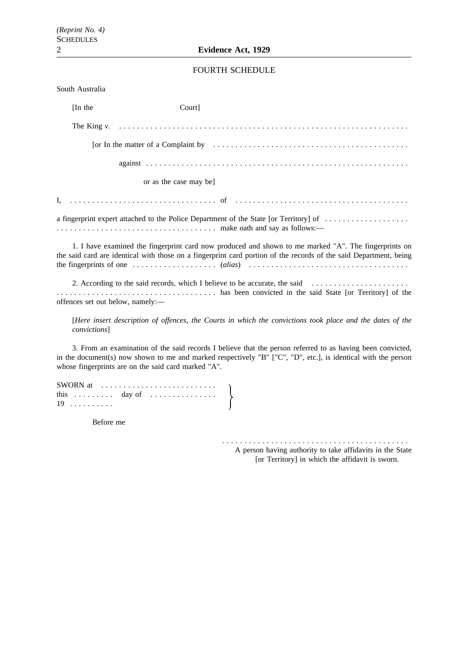## FOURTH SCHEDULE

| South Australia                  |                        |                                                                                                                                                                                                                                                                                                                                                                              |
|----------------------------------|------------------------|------------------------------------------------------------------------------------------------------------------------------------------------------------------------------------------------------------------------------------------------------------------------------------------------------------------------------------------------------------------------------|
| [In the]                         | Court]                 |                                                                                                                                                                                                                                                                                                                                                                              |
|                                  |                        | The King $v.$ $\ldots$ $\ldots$ $\ldots$ $\ldots$ $\ldots$ $\ldots$ $\ldots$ $\ldots$ $\ldots$ $\ldots$ $\ldots$ $\ldots$ $\ldots$ $\ldots$                                                                                                                                                                                                                                  |
|                                  |                        | [or In the matter of a Complaint by $\dots \dots \dots \dots \dots \dots \dots \dots \dots \dots \dots \dots \dots \dots$                                                                                                                                                                                                                                                    |
|                                  |                        |                                                                                                                                                                                                                                                                                                                                                                              |
|                                  | or as the case may be] |                                                                                                                                                                                                                                                                                                                                                                              |
|                                  |                        |                                                                                                                                                                                                                                                                                                                                                                              |
|                                  |                        | a fingerprint expert attached to the Police Department of the State [or Territory] of $\dots\dots\dots\dots\dots\dots$                                                                                                                                                                                                                                                       |
|                                  |                        | 1. I have examined the fingerprint card now produced and shown to me marked "A". The fingerprints on<br>the said card are identical with those on a fingerprint card portion of the records of the said Department, being<br>the fingerprints of one $\dots \dots \dots \dots \dots \dots$ (alias) $\dots \dots \dots \dots \dots \dots \dots \dots \dots \dots \dots \dots$ |
| offences set out below, namely:- |                        |                                                                                                                                                                                                                                                                                                                                                                              |

[*Here insert description of offences, the Courts in which the convictions took place and the dates of the convictions*]

3. From an examination of the said records I believe that the person referred to as having been convicted, in the document(s) now shown to me and marked respectively "B" ["C", "D", etc.], is identical with the person whose fingerprints are on the said card marked "A".

| SWORN at $\dots\dots\dots\dots\dots\dots\dots\dots\dots\dots$ |  |  |  |  |  |  |  |  |  |
|---------------------------------------------------------------|--|--|--|--|--|--|--|--|--|
|                                                               |  |  |  |  |  |  |  |  |  |
| $19$                                                          |  |  |  |  |  |  |  |  |  |

Before me

.......................................... A person having authority to take affidavits in the State [or Territory] in which the affidavit is sworn.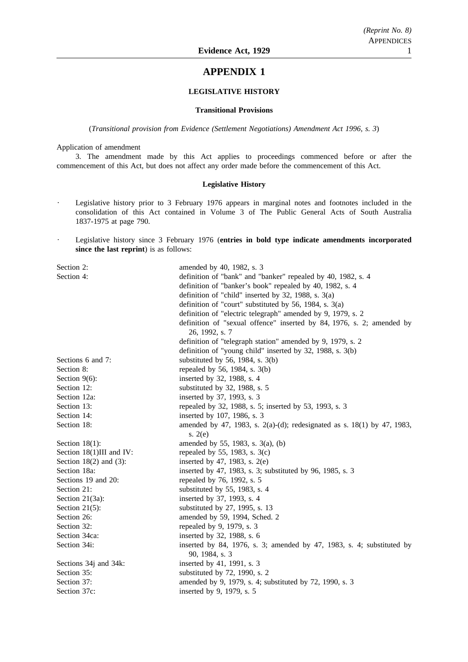## **APPENDIX 1**

## **LEGISLATIVE HISTORY**

### **Transitional Provisions**

(*Transitional provision from Evidence (Settlement Negotiations) Amendment Act 1996, s. 3*)

Application of amendment

3. The amendment made by this Act applies to proceedings commenced before or after the commencement of this Act, but does not affect any order made before the commencement of this Act.

### **Legislative History**

- Legislative history prior to 3 February 1976 appears in marginal notes and footnotes included in the  $\ddot{\phantom{a}}$ consolidation of this Act contained in Volume 3 of The Public General Acts of South Australia 1837-1975 at page 790.
- Legislative history since 3 February 1976 (**entries in bold type indicate amendments incorporated**  $\ddot{\phantom{0}}$ **since the last reprint**) is as follows:

| Section 2:                  | amended by 40, 1982, s. 3                                                               |
|-----------------------------|-----------------------------------------------------------------------------------------|
| Section 4:                  | definition of "bank" and "banker" repealed by 40, 1982, s. 4                            |
|                             | definition of "banker's book" repealed by 40, 1982, s. 4                                |
|                             | definition of "child" inserted by 32, 1988, s. $3(a)$                                   |
|                             | definition of "court" substituted by 56, 1984, s. $3(a)$                                |
|                             | definition of "electric telegraph" amended by 9, 1979, s. 2                             |
|                             | definition of "sexual offence" inserted by 84, 1976, s. 2; amended by<br>26, 1992, s. 7 |
|                             | definition of "telegraph station" amended by 9, 1979, s. 2                              |
|                             | definition of "young child" inserted by 32, 1988, s. 3(b)                               |
| Sections 6 and 7:           | substituted by 56, 1984, s. $3(b)$                                                      |
| Section 8:                  | repealed by 56, 1984, s. 3(b)                                                           |
| Section $9(6)$ :            | inserted by 32, 1988, s. 4                                                              |
| Section 12:                 | substituted by 32, 1988, s. 5                                                           |
| Section 12a:                | inserted by 37, 1993, s. 3                                                              |
| Section 13:                 | repealed by 32, 1988, s. 5; inserted by 53, 1993, s. 3                                  |
| Section 14:                 | inserted by 107, 1986, s. 3                                                             |
| Section 18:                 | amended by 47, 1983, s. 2(a)-(d); redesignated as s. 18(1) by 47, 1983,<br>s. $2(e)$    |
| Section $18(1)$ :           | amended by 55, 1983, s. 3(a), (b)                                                       |
| Section 18(1)III and IV:    | repealed by 55, 1983, s. $3(c)$                                                         |
| Section $18(2)$ and $(3)$ : | inserted by 47, 1983, s. $2(e)$                                                         |
| Section 18a:                | inserted by 47, 1983, s. 3; substituted by 96, 1985, s. 3                               |
| Sections 19 and 20:         | repealed by 76, 1992, s. 5                                                              |
| Section 21:                 | substituted by 55, 1983, s. 4                                                           |
| Section $21(3a)$ :          | inserted by 37, 1993, s. 4                                                              |
| Section $21(5)$ :           | substituted by 27, 1995, s. 13                                                          |
| Section 26:                 | amended by 59, 1994, Sched. 2                                                           |
| Section 32:                 | repealed by 9, 1979, s. 3                                                               |
| Section 34ca:               | inserted by 32, 1988, s. 6                                                              |
| Section 34i:                | inserted by 84, 1976, s. 3; amended by 47, 1983, s. 4; substituted by<br>90, 1984, s. 3 |
| Sections 34j and 34k:       | inserted by 41, 1991, s. 3                                                              |
| Section 35:                 | substituted by 72, 1990, s. 2                                                           |
| Section 37:                 | amended by 9, 1979, s. 4; substituted by 72, 1990, s. 3                                 |
| Section 37c:                | inserted by 9, 1979, s. 5                                                               |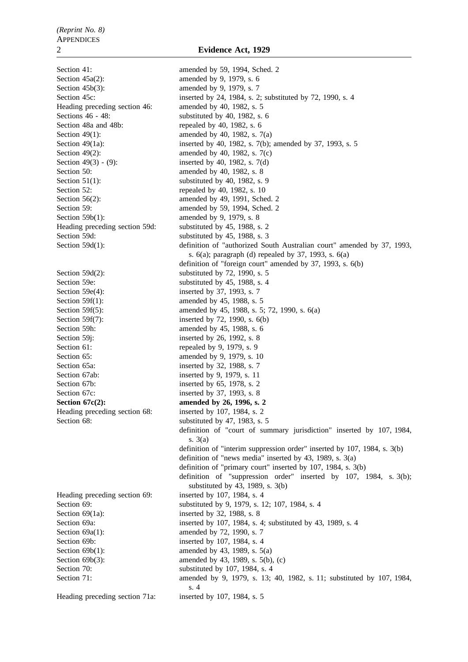Section  $45a(2)$ : amended by 9, 1979, s. 6 Section 45b(3): amended by 9, 1979, s. 7 Heading preceding section 46: amended by 40, 1982, s. 5 Sections 46 - 48: substituted by 40, 1982, s. 6 Section 48a and 48b: repealed by 40, 1982, s. 6 Section 49(1): amended by 40, 1982, s. 7(a) Section 49(2): amended by 40, 1982, s.  $7(c)$ Section 49(3) - (9): inserted by 40, 1982, s. 7(d) Section 50: amended by 40, 1982, s. 8 Section  $51(1)$ : substituted by 40, 1982, s. 9 Section 52: repealed by 40, 1982, s. 10 Section 59b(1): amended by 9, 1979, s. 8 Heading preceding section 59d: substituted by 45, 1988, s. 2 Section 59d: substituted by 45, 1988, s. 3 Section 59d(2): substituted by 72, 1990, s. 5 Section 59e: substituted by 45, 1988, s. 4 Section 59e(4): inserted by 37, 1993, s. 7 Section 59f(1): amended by 45, 1988, s. 5 Section 59f(7): inserted by 72, 1990, s. 6(b) Section 59h: amended by 45, 1988, s. 6 Section 59j: inserted by 26, 1992, s. 8 Section 61: repealed by 9, 1979, s. 9 Section 65: **amended** by 9, 1979, s. 10 Section 65a: inserted by 32, 1988, s. 7 Section 67ab: inserted by 9, 1979, s. 11 Section 67b: inserted by 65, 1978, s. 2 Section 67c: inserted by 37, 1993, s. 8 **Section 67c(2):** amended by 26, 1996, s. 2 Heading preceding section 68: inserted by 107, 1984, s. 2 Section 68: substituted by 47, 1983, s. 5

Section 69(1a): inserted by 32, 1988, s. 8 Section 69a(1): amended by 72, 1990, s. 7 Section 69b: inserted by 107, 1984, s. 4 Section 69b(1): amended by 43, 1989, s. 5(a)

Heading preceding section 71a: inserted by 107, 1984, s. 5

Section 41: amended by 59, 1994, Sched. 2 Section 45c: inserted by 24, 1984, s. 2; substituted by 72, 1990, s. 4 Section 49(1a): inserted by 40, 1982, s. 7(b); amended by 37, 1993, s. 5 Section 56(2): amended by 49, 1991, Sched. 2 Section 59: **amended** by 59, 1994, Sched. 2 Section 59d(1): definition of "authorized South Australian court" amended by 37, 1993, s. 6(a); paragraph (d) repealed by 37, 1993, s. 6(a) definition of "foreign court" amended by 37, 1993, s. 6(b) Section 59f(5): amended by 45, 1988, s. 5; 72, 1990, s. 6(a) definition of "court of summary jurisdiction" inserted by 107, 1984, s. 3(a) definition of "interim suppression order" inserted by 107, 1984, s. 3(b) definition of "news media" inserted by 43, 1989, s. 3(a) definition of "primary court" inserted by 107, 1984, s. 3(b) definition of "suppression order" inserted by 107, 1984, s. 3(b); substituted by 43, 1989, s. 3(b) Heading preceding section 69: inserted by 107, 1984, s. 4 Section 69: substituted by 9, 1979, s. 12; 107, 1984, s. 4 Section 69a: inserted by 107, 1984, s. 4; substituted by 43, 1989, s. 4 Section 69b(3): amended by 43, 1989, s. 5(b), (c) Section 70: substituted by 107, 1984, s. 4 Section 71: amended by 9, 1979, s. 13; 40, 1982, s. 11; substituted by 107, 1984, s. 4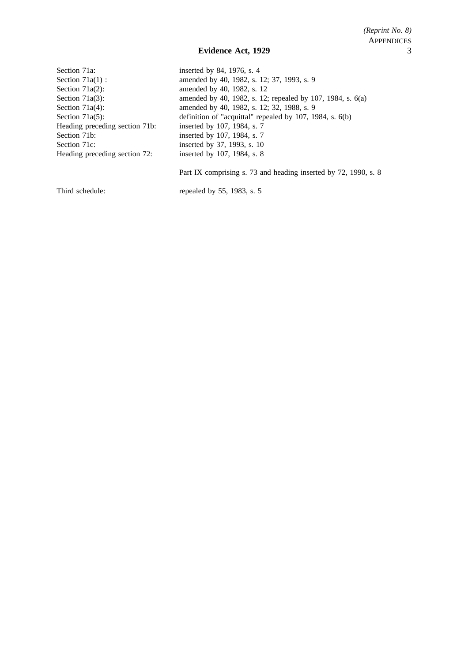| inserted by 84, 1976, s. 4                                   |
|--------------------------------------------------------------|
| amended by 40, 1982, s. 12; 37, 1993, s. 9                   |
| amended by 40, 1982, s. 12                                   |
| amended by 40, 1982, s. 12; repealed by 107, 1984, s. $6(a)$ |
| amended by 40, 1982, s. 12; 32, 1988, s. 9                   |
| definition of "acquittal" repealed by 107, 1984, s. 6(b)     |
| inserted by 107, 1984, s. 7                                  |
| inserted by 107, 1984, s. 7                                  |
| inserted by 37, 1993, s. 10                                  |
| inserted by 107, 1984, s. 8                                  |
|                                                              |

Part IX comprising s. 73 and heading inserted by 72, 1990, s. 8

Third schedule: repealed by 55, 1983, s. 5